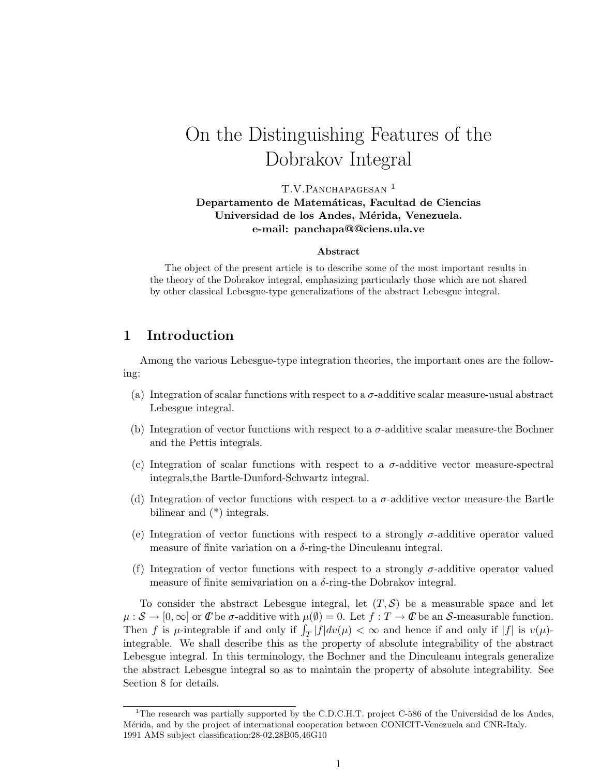# On the Distinguishing Features of the Dobrakov Integral

T.V.PANCHAPAGESAN<sup>1</sup>

Departamento de Matemáticas, Facultad de Ciencias Universidad de los Andes, Mérida, Venezuela. e-mail: panchapa@@ciens.ula.ve

#### Abstract

The object of the present article is to describe some of the most important results in the theory of the Dobrakov integral, emphasizing particularly those which are not shared by other classical Lebesgue-type generalizations of the abstract Lebesgue integral.

# 1 Introduction

Among the various Lebesgue-type integration theories, the important ones are the following:

- (a) Integration of scalar functions with respect to a  $\sigma$ -additive scalar measure-usual abstract Lebesgue integral.
- (b) Integration of vector functions with respect to a  $\sigma$ -additive scalar measure-the Bochner and the Pettis integrals.
- (c) Integration of scalar functions with respect to a  $\sigma$ -additive vector measure-spectral integrals,the Bartle-Dunford-Schwartz integral.
- (d) Integration of vector functions with respect to a  $\sigma$ -additive vector measure-the Bartle bilinear and (\*) integrals.
- (e) Integration of vector functions with respect to a strongly  $\sigma$ -additive operator valued measure of finite variation on a  $\delta$ -ring-the Dinculeanu integral.
- (f) Integration of vector functions with respect to a strongly  $\sigma$ -additive operator valued measure of finite semivariation on a  $\delta$ -ring-the Dobrakov integral.

To consider the abstract Lebesgue integral, let  $(T, S)$  be a measurable space and let  $\mu: \mathcal{S} \to [0,\infty]$  or  $\mathcal{C}$  be  $\sigma$ -additive with  $\mu(\emptyset) = 0$ . Let  $f: T \to \mathcal{C}$  be an S-measurable function. Then f is  $\mu$ -integrable if and only if  $\int_T |f| dv(\mu) < \infty$  and hence if and only if  $|f|$  is  $v(\mu)$ integrable. We shall describe this as the property of absolute integrability of the abstract Lebesgue integral. In this terminology, the Bochner and the Dinculeanu integrals generalize the abstract Lebesgue integral so as to maintain the property of absolute integrability. See Section 8 for details.

<sup>&</sup>lt;sup>1</sup>The research was partially supported by the C.D.C.H.T. project C-586 of the Universidad de los Andes, M´erida, and by the project of international cooperation between CONICIT-Venezuela and CNR-Italy. 1991 AMS subject classification:28-02,28B05,46G10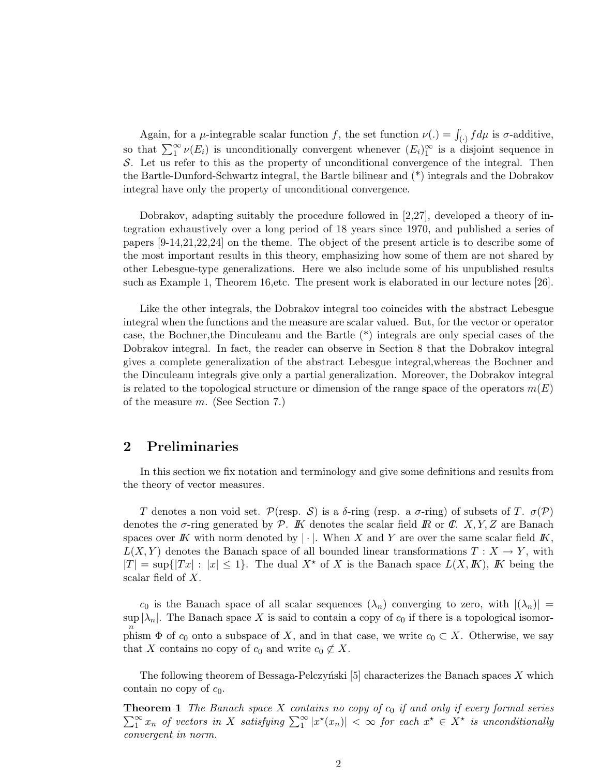Again, for a  $\mu$ -integrable scalar function f, the set function  $\nu(.) = \int_{(\cdot)} f d\mu$  is  $\sigma$ -additive, so that  $\sum_{i=1}^{\infty} \nu(E_i)$  is unconditionally convergent whenever  $(E_i)_{1}^{\infty}$  is a disjoint sequence in S. Let us refer to this as the property of unconditional convergence of the integral. Then the Bartle-Dunford-Schwartz integral, the Bartle bilinear and (\*) integrals and the Dobrakov integral have only the property of unconditional convergence.

Dobrakov, adapting suitably the procedure followed in [2,27], developed a theory of integration exhaustively over a long period of 18 years since 1970, and published a series of papers [9-14,21,22,24] on the theme. The object of the present article is to describe some of the most important results in this theory, emphasizing how some of them are not shared by other Lebesgue-type generalizations. Here we also include some of his unpublished results such as Example 1, Theorem 16,etc. The present work is elaborated in our lecture notes [26].

Like the other integrals, the Dobrakov integral too coincides with the abstract Lebesgue integral when the functions and the measure are scalar valued. But, for the vector or operator case, the Bochner,the Dinculeanu and the Bartle (\*) integrals are only special cases of the Dobrakov integral. In fact, the reader can observe in Section 8 that the Dobrakov integral gives a complete generalization of the abstract Lebesgue integral,whereas the Bochner and the Dinculeanu integrals give only a partial generalization. Moreover, the Dobrakov integral is related to the topological structure or dimension of the range space of the operators  $m(E)$ of the measure m. (See Section 7.)

### 2 Preliminaries

In this section we fix notation and terminology and give some definitions and results from the theory of vector measures.

T denotes a non void set. P(resp. S) is a  $\delta$ -ring (resp. a  $\sigma$ -ring) of subsets of T.  $\sigma(\mathcal{P})$ denotes the  $\sigma$ -ring generated by P. K denotes the scalar field R or C. X, Y, Z are Banach spaces over K with norm denoted by  $|\cdot|$ . When X and Y are over the same scalar field K,  $L(X, Y)$  denotes the Banach space of all bounded linear transformations  $T : X \to Y$ , with  $|T| = \sup\{|Tx| : |x| \leq 1\}.$  The dual  $X^*$  of X is the Banach space  $L(X, K)$ , K being the scalar field of X.

 $c_0$  is the Banach space of all scalar sequences  $(\lambda_n)$  converging to zero, with  $|(\lambda_n)| =$ sup up  $|\lambda_n|$ . The Banach space X is said to contain a copy of  $c_0$  if there is a topological isomorphism  $\Phi$  of  $c_0$  onto a subspace of X, and in that case, we write  $c_0 \subset X$ . Otherwise, we say that X contains no copy of  $c_0$  and write  $c_0 \not\subset X$ .

The following theorem of Bessaga-Pelczyński  $[5]$  characterizes the Banach spaces X which contain no copy of  $c_0$ .

 $\sum_{1}^{\infty} x_n$  of vectors in X satisfying  $\sum_{1}^{\infty} |x^*(x_n)| < \infty$  for each  $x^* \in X^*$  is unconditionally **Theorem 1** The Banach space  $X$  contains no copy of  $c_0$  if and only if every formal series convergent in norm.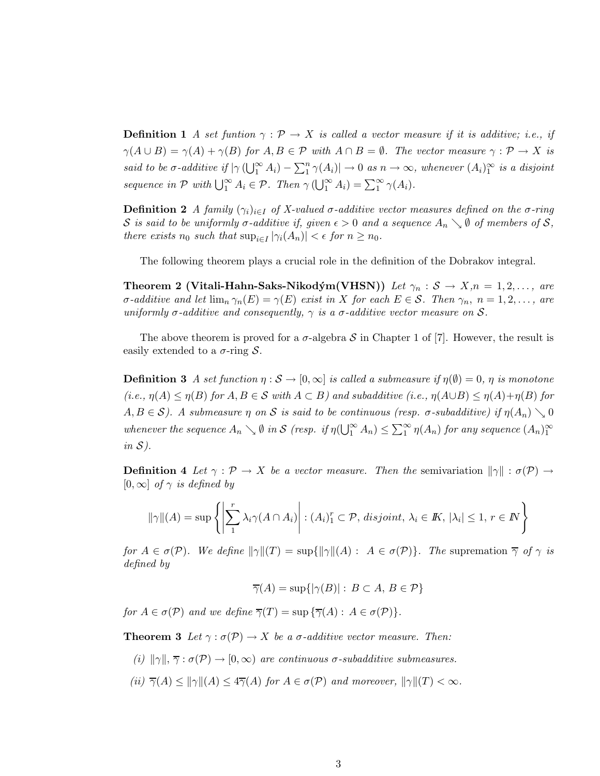**Definition 1** A set funtion  $\gamma : \mathcal{P} \to X$  is called a vector measure if it is additive; i.e., if  $\gamma(A \cup B) = \gamma(A) + \gamma(B)$  for  $A, B \in \mathcal{P}$  with  $A \cap B = \emptyset$ . The vector measure  $\gamma : \mathcal{P} \to X$  is said to be  $\sigma$ -additive if  $|\gamma(\bigcup_{1}^{\infty} A_i) - \sum_{1}^{n} \gamma(A_i)| \to 0$  as  $n \to \infty$ , whenever  $(A_i)_1^{\infty}$  is a disjoint sequence in  $P$  with  $\bigcup_{1}^{\infty} A_i \in P$ . Then  $\gamma(\bigcup_{1}^{\infty} A_i) = \sum_{1}^{\infty} \gamma(A_i)$ .

**Definition 2** A family  $(\gamma_i)_{i\in I}$  of X-valued  $\sigma$ -additive vector measures defined on the  $\sigma$ -ring S is said to be uniformly  $\sigma$ -additive if, given  $\epsilon > 0$  and a sequence  $A_n \searrow \emptyset$  of members of S, there exists  $n_0$  such that  $\sup_{i \in I} |\gamma_i(A_n)| < \epsilon$  for  $n \ge n_0$ .

The following theorem plays a crucial role in the definition of the Dobrakov integral.

Theorem 2 (Vitali-Hahn-Saks-Nikodým(VHSN)) Let  $\gamma_n : \mathcal{S} \to X, n = 1, 2, \ldots,$  are  $\sigma$ -additive and let  $\lim_{n} \gamma_n(E) = \gamma(E)$  exist in X for each  $E \in \mathcal{S}$ . Then  $\gamma_n$ ,  $n = 1, 2, \ldots$ , are uniformly  $\sigma$ -additive and consequently,  $\gamma$  is a  $\sigma$ -additive vector measure on S.

The above theorem is proved for a  $\sigma$ -algebra S in Chapter 1 of [7]. However, the result is easily extended to a  $\sigma$ -ring  $\mathcal{S}$ .

**Definition 3** A set function  $\eta : \mathcal{S} \to [0,\infty]$  is called a submeasure if  $\eta(\emptyset) = 0$ ,  $\eta$  is monotone  $(i.e., \eta(A) \leq \eta(B)$  for  $A, B \in \mathcal{S}$  with  $A \subset B$ ) and subadditive  $(i.e., \eta(A \cup B) \leq \eta(A) + \eta(B)$  for  $A, B \in \mathcal{S}$ ). A submeasure  $\eta$  on  $\mathcal S$  is said to be continuous (resp.  $\sigma$ -subadditive) if  $\eta(A_n) \setminus 0$ whenever the sequence  $A_n \searrow \emptyset$  in S (resp. if  $\eta(\bigcup_{1}^{\infty} A_n) \leq \sum_{1}^{\infty} \eta(A_n)$  for any sequence  $(A_n)_1^{\infty}$  $in S$ ).

**Definition 4** Let  $\gamma : \mathcal{P} \to X$  be a vector measure. Then the semivariation  $\|\gamma\| : \sigma(\mathcal{P}) \to$  $[0, \infty]$  of  $\gamma$  is defined by

$$
\|\gamma\|(A) = \sup \left\{ \left| \sum_{1}^{r} \lambda_i \gamma(A \cap A_i) \right| : (A_i)_1^r \subset \mathcal{P}, \text{ disjoint}, \lambda_i \in \mathbb{K}, |\lambda_i| \leq 1, r \in \mathbb{N} \right\}
$$

for  $A \in \sigma(\mathcal{P})$ . We define  $\|\gamma\|(T) = \sup\{\|\gamma\|(A) : A \in \sigma(\mathcal{P})\}$ . The supremation  $\overline{\gamma}$  of  $\gamma$  is defined by

$$
\overline{\gamma}(A) = \sup\{|\gamma(B)| : B \subset A, B \in \mathcal{P}\}\
$$

for  $A \in \sigma(\mathcal{P})$  and we define  $\overline{\gamma}(T) = \sup \{\overline{\gamma}(A) : A \in \sigma(\mathcal{P})\}.$ 

**Theorem 3** Let  $\gamma : \sigma(\mathcal{P}) \to X$  be a  $\sigma$ -additive vector measure. Then:

- (i)  $\|\gamma\|$ ,  $\overline{\gamma}$  :  $\sigma(\mathcal{P}) \to [0,\infty)$  are continuous  $\sigma$ -subadditive submeasures.
- (ii)  $\overline{\gamma}(A) \leq ||\gamma||(A) \leq 4\overline{\gamma}(A)$  for  $A \in \sigma(\mathcal{P})$  and moreover,  $||\gamma||(T) < \infty$ .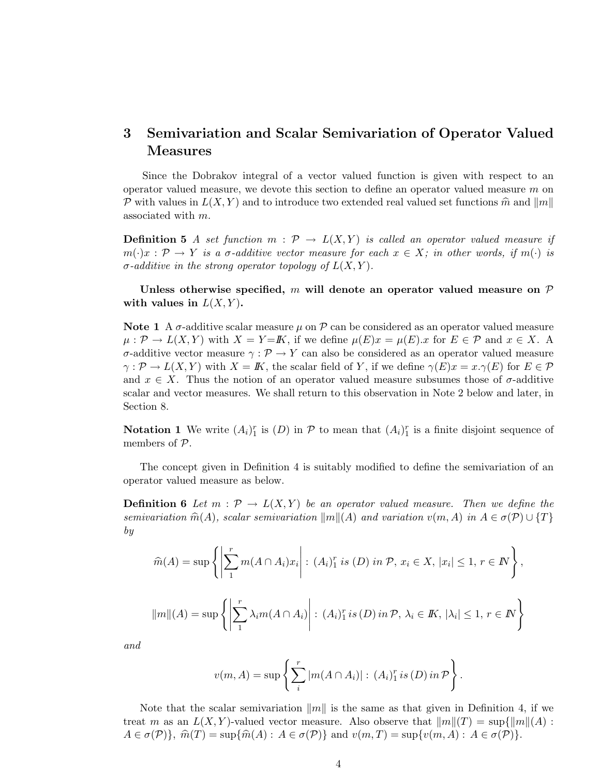# 3 Semivariation and Scalar Semivariation of Operator Valued Measures

Since the Dobrakov integral of a vector valued function is given with respect to an operator valued measure, we devote this section to define an operator valued measure  $m$  on P with values in  $L(X, Y)$  and to introduce two extended real valued set functions  $\hat{m}$  and  $\|m\|$ associated with m.

**Definition 5** A set function  $m : \mathcal{P} \to L(X, Y)$  is called an operator valued measure if  $m(\cdot)x : \mathcal{P} \to Y$  is a  $\sigma$ -additive vector measure for each  $x \in X$ ; in other words, if  $m(\cdot)$  is  $\sigma$ -additive in the strong operator topology of  $L(X, Y)$ .

Unless otherwise specified, m will denote an operator valued measure on  $\mathcal P$ with values in  $L(X, Y)$ .

Note 1 A  $\sigma$ -additive scalar measure  $\mu$  on  $\mathcal P$  can be considered as an operator valued measure  $\mu: \mathcal{P} \to L(X,Y)$  with  $X = Y = K$ , if we define  $\mu(E)x = \mu(E)x$  for  $E \in \mathcal{P}$  and  $x \in X$ . σ-additive vector measure γ : P → Y can also be considered as an operator valued measure  $\gamma: \mathcal{P} \to L(X, Y)$  with  $X = \mathbb{K}$ , the scalar field of Y, if we define  $\gamma(E)x = x.\gamma(E)$  for  $E \in \mathcal{P}$ and  $x \in X$ . Thus the notion of an operator valued measure subsumes those of  $\sigma$ -additive scalar and vector measures. We shall return to this observation in Note 2 below and later, in Section 8.

**Notation 1** We write  $(A_i)_1^r$  is  $(D)$  in  $\mathcal P$  to mean that  $(A_i)_1^r$  is a finite disjoint sequence of members of P.

The concept given in Definition 4 is suitably modified to define the semivariation of an operator valued measure as below.

**Definition 6** Let  $m : \mathcal{P} \to L(X, Y)$  be an operator valued measure. Then we define the semivariation  $\widehat{m}(A)$ , scalar semivariation  $\|m\|(A)$  and variation  $v(m, A)$  in  $A \in \sigma(\mathcal{P}) \cup \{T\}$ by

$$
\widehat{m}(A) = \sup \left\{ \left| \sum_{1}^{r} m(A \cap A_{i}) x_{i} \right| : (A_{i})_{1}^{r} \text{ is } (D) \text{ in } \mathcal{P}, x_{i} \in X, |x_{i}| \leq 1, r \in \mathbb{N} \right\},\
$$

$$
||m||(A) = \sup \left\{ \left| \sum_{1}^{r} \lambda_{i} m(A \cap A_{i}) \right| : (A_{i})_{1}^{r} \text{ is } (D) \text{ in } \mathcal{P}, \lambda_{i} \in \mathbb{K}, |\lambda_{i}| \leq 1, r \in \mathbb{N} \right\}
$$

and

$$
v(m, A) = \sup \left\{ \sum_{i}^{r} |m(A \cap A_i)| : (A_i)_1^r \, \text{is } (D) \, \text{in } \mathcal{P} \right\}.
$$

Note that the scalar semivariation  $||m||$  is the same as that given in Definition 4, if we treat m as an  $L(X, Y)$ -valued vector measure. Also observe that  $||m||(T) = \sup{||m||(A) :}$  $A \in \sigma(\mathcal{P})\}, \hat{m}(T) = \sup\{\hat{m}(A) : A \in \sigma(\mathcal{P})\}\$ and  $v(m, T) = \sup\{v(m, A) : A \in \sigma(\mathcal{P})\}.$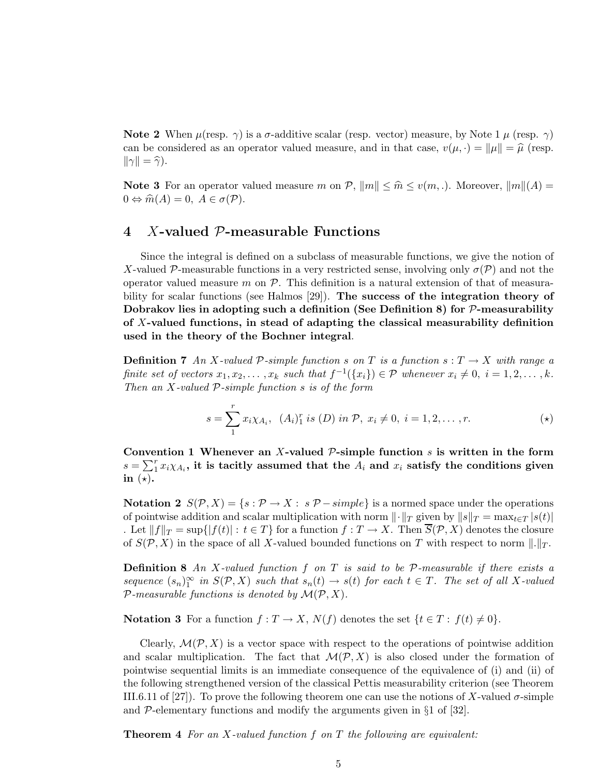Note 2 When  $\mu$ (resp.  $\gamma$ ) is a  $\sigma$ -additive scalar (resp. vector) measure, by Note 1  $\mu$  (resp.  $\gamma$ ) can be considered as an operator valued measure, and in that case,  $v(\mu, \cdot) = ||\mu|| = \hat{\mu}$  (resp.  $\|\gamma\| = \widehat{\gamma}$ ).

**Note 3** For an operator valued measure m on P,  $||m|| \leq \hat{m} \leq v(m,.)$ . Moreover,  $||m||(A) =$  $0 \Leftrightarrow \widehat{m}(A) = 0, A \in \sigma(\mathcal{P}).$ 

### 4 X-valued P-measurable Functions

Since the integral is defined on a subclass of measurable functions, we give the notion of X-valued P-measurable functions in a very restricted sense, involving only  $\sigma(\mathcal{P})$  and not the operator valued measure  $m$  on  $P$ . This definition is a natural extension of that of measurability for scalar functions (see Halmos [29]). The success of the integration theory of Dobrakov lies in adopting such a definition (See Definition 8) for  $P$ -measurability of X-valued functions, in stead of adapting the classical measurability definition used in the theory of the Bochner integral.

**Definition 7** An X-valued P-simple function s on T is a function  $s: T \to X$  with range a finite set of vectors  $x_1, x_2, \ldots, x_k$  such that  $f^{-1}(\lbrace x_i \rbrace) \in \mathcal{P}$  whenever  $x_i \neq 0, i = 1, 2, \ldots, k$ . Then an  $X$ -valued  $P$ -simple function  $s$  is of the form

$$
s = \sum_{1}^{r} x_i \chi_{A_i}, \ \ (A_i)^{r} \ \text{is} \ (D) \ \text{in} \ \mathcal{P}, \ x_i \neq 0, \ i = 1, 2, \dots, r. \tag{\star}
$$

Convention 1 Whenever an X-valued  $P$ -simple function  $s$  is written in the form  $s = \sum_{1}^{r} x_i \chi_{A_i}$ , it is tacitly assumed that the  $\overline{A_i}$  and  $x_i$  satisfy the conditions given in  $(*)$ .

Notation 2  $S(\mathcal{P}, X) = \{s : \mathcal{P} \to X : s \mathcal{P} - simple\}$  is a normed space under the operations of pointwise addition and scalar multiplication with norm  $\|\cdot\|_T$  given by  $\|s\|_T = \max_{t \in T} |s(t)|$ . Let  $||f||_T = \sup\{|f(t)| : t \in T\}$  for a function  $f : T \to X$ . Then  $\overline{S}(\mathcal{P}, X)$  denotes the closure of  $S(\mathcal{P}, X)$  in the space of all X-valued bounded functions on T with respect to norm  $\|.\|_T$ .

**Definition 8** An X-valued function f on T is said to be  $P$ -measurable if there exists a sequence  $(s_n)_1^{\infty}$  in  $S(\mathcal{P}, X)$  such that  $s_n(t) \to s(t)$  for each  $t \in T$ . The set of all X-valued  $P$ -measurable functions is denoted by  $\mathcal{M}(\mathcal{P}, X)$ .

Notation 3 For a function  $f: T \to X$ ,  $N(f)$  denotes the set  $\{t \in T: f(t) \neq 0\}$ .

Clearly,  $\mathcal{M}(\mathcal{P}, X)$  is a vector space with respect to the operations of pointwise addition and scalar multiplication. The fact that  $\mathcal{M}(\mathcal{P}, X)$  is also closed under the formation of pointwise sequential limits is an immediate consequence of the equivalence of (i) and (ii) of the following strengthened version of the classical Pettis measurability criterion (see Theorem III.6.11 of [27]). To prove the following theorem one can use the notions of X-valued  $\sigma$ -simple and  $\mathcal{P}$ -elementary functions and modify the arguments given in §1 of [32].

**Theorem 4** For an X-valued function f on T the following are equivalent: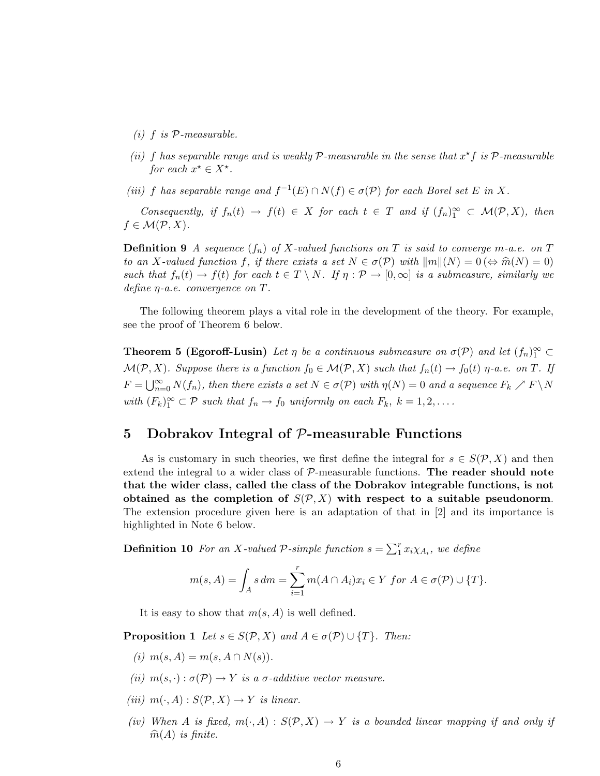- $(i)$  f is  $P$ -measurable.
- (ii) f has separable range and is weakly  $P$ -measurable in the sense that  $x^*f$  is  $P$ -measurable for each  $x^* \in X^*$ .
- (iii) f has separable range and  $f^{-1}(E) \cap N(f) \in \sigma(\mathcal{P})$  for each Borel set E in X.

Consequently, if  $f_n(t) \to f(t) \in X$  for each  $t \in T$  and if  $(f_n)_1^{\infty} \subset \mathcal{M}(\mathcal{P}, X)$ , then  $f \in \mathcal{M}(\mathcal{P},X).$ 

**Definition 9** A sequence  $(f_n)$  of X-valued functions on T is said to converge m-a.e. on T to an X-valued function f, if there exists a set  $N \in \sigma(\mathcal{P})$  with  $||m||(N) = 0 \Leftrightarrow \hat{m}(N) = 0$ such that  $f_n(t) \to f(t)$  for each  $t \in T \setminus N$ . If  $\eta : \mathcal{P} \to [0,\infty]$  is a submeasure, similarly we define  $\eta$ -a.e. convergence on  $T$ .

The following theorem plays a vital role in the development of the theory. For example, see the proof of Theorem 6 below.

**Theorem 5 (Egoroff-Lusin)** Let  $\eta$  be a continuous submeasure on  $\sigma(\mathcal{P})$  and let  $(f_n)_{1}^{\infty} \subset$  $\mathcal{M}(\mathcal{P}, X)$ . Suppose there is a function  $f_0 \in \mathcal{M}(\mathcal{P}, X)$  such that  $f_n(t) \to f_0(t)$   $\eta$ -a.e. on T. If  $F = \bigcup_{n=0}^{\infty} N(f_n)$ , then there exists a set  $N \in \sigma(\mathcal{P})$  with  $\eta(N) = 0$  and a sequence  $F_k \nearrow F \setminus N$ with  $(F_k)_1^{\infty} \subset \mathcal{P}$  such that  $f_n \to f_0$  uniformly on each  $F_k$ ,  $k = 1, 2, \ldots$ .

# 5 Dobrakov Integral of  $P$ -measurable Functions

As is customary in such theories, we first define the integral for  $s \in S(\mathcal{P}, X)$  and then extend the integral to a wider class of  $P$ -measurable functions. The reader should note that the wider class, called the class of the Dobrakov integrable functions, is not obtained as the completion of  $S(\mathcal{P}, X)$  with respect to a suitable pseudonorm. The extension procedure given here is an adaptation of that in [2] and its importance is highlighted in Note 6 below.

**Definition 10** For an X-valued P-simple function  $s = \sum_{1}^{r} x_i \chi_{A_i}$ , we define

$$
m(s, A) = \int_A s dm = \sum_{i=1}^r m(A \cap A_i) x_i \in Y \text{ for } A \in \sigma(\mathcal{P}) \cup \{T\}.
$$

It is easy to show that  $m(s, A)$  is well defined.

**Proposition 1** Let  $s \in S(\mathcal{P}, X)$  and  $A \in \sigma(\mathcal{P}) \cup \{T\}$ . Then:

- (i)  $m(s, A) = m(s, A \cap N(s)).$
- (ii)  $m(s, \cdot): \sigma(\mathcal{P}) \to Y$  is a  $\sigma$ -additive vector measure.
- (iii)  $m(\cdot, A) : S(\mathcal{P}, X) \to Y$  is linear.
- (iv) When A is fixed,  $m(\cdot, A) : S(\mathcal{P}, X) \to Y$  is a bounded linear mapping if and only if  $\widehat{m}(A)$  is finite.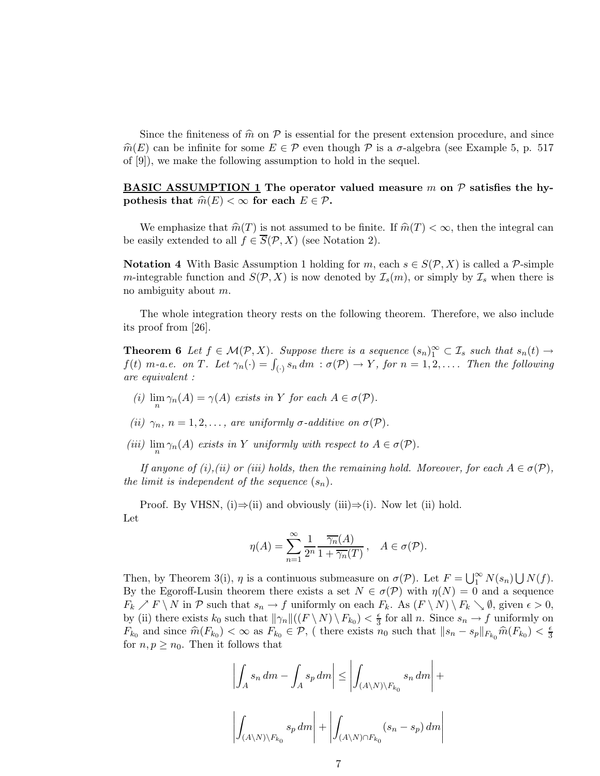Since the finiteness of  $\hat{m}$  on  $\hat{P}$  is essential for the present extension procedure, and since  $\hat{m}(E)$  can be infinite for some  $E \in \mathcal{P}$  even though  $\mathcal P$  is a  $\sigma$ -algebra (see Example 5, p. 517) of [9]), we make the following assumption to hold in the sequel.

### **BASIC ASSUMPTION 1** The operator valued measure m on  $P$  satisfies the hypothesis that  $\widehat{m}(E) < \infty$  for each  $E \in \mathcal{P}$ .

We emphasize that  $\hat{m}(T)$  is not assumed to be finite. If  $\hat{m}(T) < \infty$ , then the integral can be easily extended to all  $f \in \overline{S}(\mathcal{P}, X)$  (see Notation 2).

Notation 4 With Basic Assumption 1 holding for m, each  $s \in S(\mathcal{P}, X)$  is called a  $\mathcal{P}$ -simple m-integrable function and  $S(\mathcal{P}, X)$  is now denoted by  $\mathcal{I}_s(m)$ , or simply by  $\mathcal{I}_s$  when there is no ambiguity about m.

The whole integration theory rests on the following theorem. Therefore, we also include its proof from [26].

**Theorem 6** Let  $f \in \mathcal{M}(\mathcal{P}, X)$ . Suppose there is a sequence  $(s_n)_1^{\infty} \subset \mathcal{I}_s$  such that  $s_n(t) \to$  $f(t)$  m-a.e. on T. Let  $\gamma_n(\cdot) = \int_{(\cdot)} s_n dm$  :  $\sigma(\mathcal{P}) \to Y$ , for  $n = 1, 2, \ldots$ . Then the following are equivalent :

- (i)  $\lim_{n} \gamma_n(A) = \gamma(A)$  exists in Y for each  $A \in \sigma(\mathcal{P})$ .
- (ii)  $\gamma_n$ ,  $n = 1, 2, \ldots$ , are uniformly  $\sigma$ -additive on  $\sigma(\mathcal{P})$ .
- (iii)  $\lim_{n} \gamma_n(A)$  exists in Y uniformly with respect to  $A \in \sigma(\mathcal{P})$ .

If anyone of (i),(ii) or (iii) holds, then the remaining hold. Moreover, for each  $A \in \sigma(\mathcal{P})$ , the limit is independent of the sequence  $(s_n)$ .

Proof. By VHSN, (i)⇒(ii) and obviously (iii)⇒(i). Now let (ii) hold. Let

$$
\eta(A) = \sum_{n=1}^{\infty} \frac{1}{2^n} \frac{\overline{\gamma_n}(A)}{1 + \overline{\gamma_n}(T)}, \quad A \in \sigma(\mathcal{P}).
$$

Then, by Theorem 3(i),  $\eta$  is a continuous submeasure on  $\sigma(\mathcal{P})$ . Let  $F = \bigcup_{1}^{\infty} N(s_n) \bigcup N(f)$ . By the Egoroff-Lusin theorem there exists a set  $N \in \sigma(\mathcal{P})$  with  $\eta(N) = 0$  and a sequence  $F_k \nearrow F \setminus N$  in P such that  $s_n \to f$  uniformly on each  $F_k$ . As  $(F \setminus N) \setminus F_k \setminus \emptyset$ , given  $\epsilon > 0$ , by (ii) there exists  $k_0$  such that  $\|\gamma_n\|((F \setminus N) \setminus F_{k_0}) < \frac{\epsilon}{3}$  $\frac{\epsilon}{3}$  for all *n*. Since  $s_n \to f$  uniformly on  $F_{k_0}$  and since  $\widehat{m}(F_{k_0}) < \infty$  as  $F_{k_0} \in \mathcal{P}$ , (there exists  $n_0$  such that  $||s_n - s_p||_{F_{k_0}} \widehat{m}(F_{k_0}) < \frac{\epsilon}{3}$ 3 for  $n, p \geq n_0$ . Then it follows that

$$
\left| \int_{A} s_n \, dm - \int_{A} s_p \, dm \right| \le \left| \int_{(A \setminus N) \setminus F_{k_0}} s_n \, dm \right| +
$$
  

$$
\left| \int_{(A \setminus N) \setminus F_{k_0}} s_p \, dm \right| + \left| \int_{(A \setminus N) \cap F_{k_0}} (s_n - s_p) \, dm \right|
$$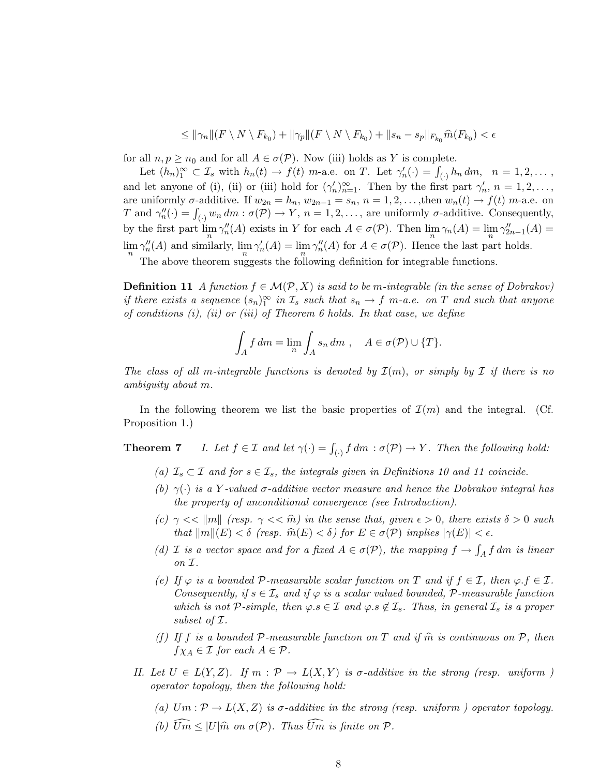$$
\leq \|\gamma_n\|(F\setminus N\setminus F_{k_0})+\|\gamma_p\|(F\setminus N\setminus F_{k_0})+\|s_n-s_p\|_{F_{k_0}}\widehat{m}(F_{k_0})<\epsilon
$$

for all  $n, p \geq n_0$  and for all  $A \in \sigma(\mathcal{P})$ . Now (iii) holds as Y is complete.

Let  $(h_n)_1^{\infty} \subset \mathcal{I}_s$  with  $h_n(t) \to f(t)$  m-a.e. on T. Let  $\gamma'_n(\cdot) = \int_{(\cdot)} h_n dm, \quad n = 1, 2, \ldots$ , and let anyone of (i), (ii) or (iii) hold for  $(\gamma'_n)_{n=1}^{\infty}$ . Then by the first part  $\gamma'_n$ ,  $n = 1, 2, \ldots$ , are uniformly  $\sigma$ -additive. If  $w_{2n} = h_n$ ,  $w_{2n-1} = s_n$ ,  $n = 1, 2, \ldots$ , then  $w_n(t) \to f(t)$  m-a.e. on T and  $\gamma''_n(\cdot) = \int_{(\cdot)} w_n dm : \sigma(\mathcal{P}) \to Y$ ,  $n = 1, 2, \ldots$ , are uniformly  $\sigma$ -additive. Consequently, by the first part  $\lim_{n} \gamma_n''(A)$  exists in Y for each  $A \in \sigma(\mathcal{P})$ . Then  $\lim_{n} \gamma_n(A) = \lim_{n} \gamma_{2n-1}''(A) =$  $\lim_{n} \gamma_n''(A)$  and similarly,  $\lim_{n} \gamma_n'(A) = \lim_{n} \gamma_n''(A)$  for  $A \in \sigma(\mathcal{P})$ . Hence the last part holds.

The above theorem suggests the following definition for integrable functions.

**Definition 11** A function  $f \in \mathcal{M}(\mathcal{P}, X)$  is said to be m-integrable (in the sense of Dobrakov) if there exists a sequence  $(s_n)_1^{\infty}$  in  $\mathcal{I}_s$  such that  $s_n \to f$  m-a.e. on T and such that anyone of conditions  $(i)$ ,  $(ii)$  or  $(iii)$  of Theorem 6 holds. In that case, we define

$$
\int_A f dm = \lim_n \int_A s_n dm , \quad A \in \sigma(\mathcal{P}) \cup \{T\}.
$$

The class of all m-integrable functions is denoted by  $\mathcal{I}(m)$ , or simply by  $\mathcal{I}$  if there is no ambiguity about m.

In the following theorem we list the basic properties of  $\mathcal{I}(m)$  and the integral. (Cf. Proposition 1.)

**Theorem 7** I. Let  $f \in \mathcal{I}$  and let  $\gamma(\cdot) = \int_{(\cdot)} f dm : \sigma(\mathcal{P}) \to Y$ . Then the following hold:

- (a)  $\mathcal{I}_s \subset \mathcal{I}$  and for  $s \in \mathcal{I}_s$ , the integrals given in Definitions 10 and 11 coincide.
- (b)  $\gamma(\cdot)$  is a Y-valued  $\sigma$ -additive vector measure and hence the Dobrakov integral has the property of unconditional convergence (see Introduction).
- (c)  $\gamma \ll ||m||$  (resp.  $\gamma \ll \hat{m}$ ) in the sense that, given  $\epsilon > 0$ , there exists  $\delta > 0$  such that  $\|m\|(E) < \delta$  (resp.  $\widehat{m}(E) < \delta$ ) for  $E \in \sigma(\mathcal{P})$  implies  $|\gamma(E)| < \epsilon$ .
- (d) I is a vector space and for a fixed  $A \in \sigma(\mathcal{P})$ , the mapping  $f \to \int_A f dm$  is linear on I.
- (e) If  $\varphi$  is a bounded P-measurable scalar function on T and if  $f \in \mathcal{I}$ , then  $\varphi$ . $f \in \mathcal{I}$ . Consequently, if  $s \in \mathcal{I}_s$  and if  $\varphi$  is a scalar valued bounded, P-measurable function which is not P-simple, then  $\varphi.s \in \mathcal{I}$  and  $\varphi.s \notin \mathcal{I}_s$ . Thus, in general  $\mathcal{I}_s$  is a proper subset of I.
- (f) If f is a bounded P-measurable function on T and if  $\hat{m}$  is continuous on P, then  $f\chi_A \in \mathcal{I}$  for each  $A \in \mathcal{P}$ .
- II. Let  $U \in L(Y,Z)$ . If  $m: \mathcal{P} \to L(X,Y)$  is  $\sigma$ -additive in the strong (resp. uniform ) operator topology, then the following hold:
	- (a)  $Um: \mathcal{P} \to L(X,Z)$  is  $\sigma$ -additive in the strong (resp. uniform) operator topology.
	- (b)  $\widehat{Um} \leq |U|\hat{m}$  on  $\sigma(\mathcal{P})$ . Thus  $\widehat{Um}$  is finite on  $\mathcal{P}$ .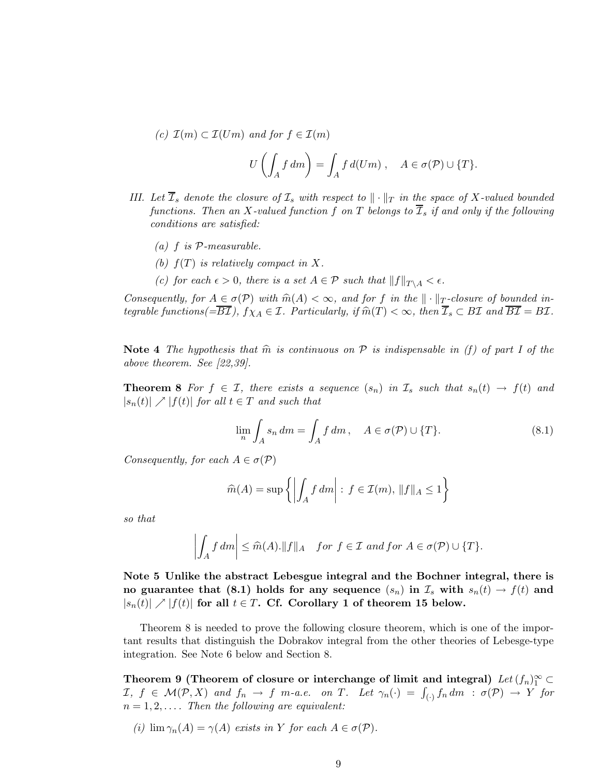(c) 
$$
\mathcal{I}(m) \subset \mathcal{I}(Um)
$$
 and for  $f \in \mathcal{I}(m)$   

$$
U\left(\int_A f \, dm\right) = \int_A f \, d(Um) \;, \quad A \in \sigma(\mathcal{P}) \cup \{T\}.
$$

- III. Let  $\overline{\mathcal{I}}_s$  denote the closure of  $\mathcal{I}_s$  with respect to  $\|\cdot\|_T$  in the space of X-valued bounded functions. Then an X-valued function f on T belongs to  $\overline{I}_s$  if and only if the following conditions are satisfied:
	- (a)  $f$  is  $P$ -measurable.
	- (b)  $f(T)$  is relatively compact in X.
	- (c) for each  $\epsilon > 0$ , there is a set  $A \in \mathcal{P}$  such that  $||f||_{T \setminus A} < \epsilon$ .

Consequently, for  $A \in \sigma(\mathcal{P})$  with  $\widehat{m}(A) < \infty$ , and for f in the  $\|\cdot\|_T$ -closure of bounded integrable functions( $=\overline{B\mathcal{I}}$ ),  $f\chi_A \in \mathcal{I}$ . Particularly, if  $\widehat{m}(T) < \infty$ , then  $\overline{\mathcal{I}}_s \subset B\mathcal{I}$  and  $\overline{B\mathcal{I}} = B\mathcal{I}$ .

Note 4 The hypothesis that  $\hat{m}$  is continuous on P is indispensable in (f) of part I of the above theorem. See [22,39].

**Theorem 8** For  $f \in \mathcal{I}$ , there exists a sequence  $(s_n)$  in  $\mathcal{I}_s$  such that  $s_n(t) \to f(t)$  and  $|s_n(t)| \nearrow |f(t)|$  for all  $t \in T$  and such that

$$
\lim_{n} \int_{A} s_n \, dm = \int_{A} f \, dm \,, \quad A \in \sigma(\mathcal{P}) \cup \{T\}.
$$
\n(8.1)

Consequently, for each  $A \in \sigma(\mathcal{P})$ 

$$
\widehat{m}(A) = \sup \left\{ \left| \int_A f \, dm \right| : \, f \in \mathcal{I}(m), \, \|f\|_A \le 1 \right\}
$$

so that

$$
\left| \int_A f \, dm \right| \leq \widehat{m}(A). \|f\|_A \quad \text{for } f \in \mathcal{I} \text{ and for } A \in \sigma(\mathcal{P}) \cup \{T\}.
$$

Note 5 Unlike the abstract Lebesgue integral and the Bochner integral, there is no guarantee that (8.1) holds for any sequence  $(s_n)$  in  $\mathcal{I}_s$  with  $s_n(t) \to f(t)$  and  $|s_n(t)| \nearrow |f(t)|$  for all  $t \in T$ . Cf. Corollary 1 of theorem 15 below.

Theorem 8 is needed to prove the following closure theorem, which is one of the important results that distinguish the Dobrakov integral from the other theories of Lebesge-type integration. See Note 6 below and Section 8.

Theorem 9 (Theorem of closure or interchange of limit and integral)  $Let (f_n)_1^{\infty} \subset$  $I, f \in \mathcal{M}(\mathcal{P}, X)$  and  $f_n \to f$  m-a.e. on T. Let  $\gamma_n(\cdot) = \int_{(\cdot)} f_n dm$  :  $\sigma(\mathcal{P}) \to Y$  for  $n = 1, 2, \ldots$  Then the following are equivalent:

(i)  $\lim \gamma_n(A) = \gamma(A)$  exists in Y for each  $A \in \sigma(\mathcal{P})$ .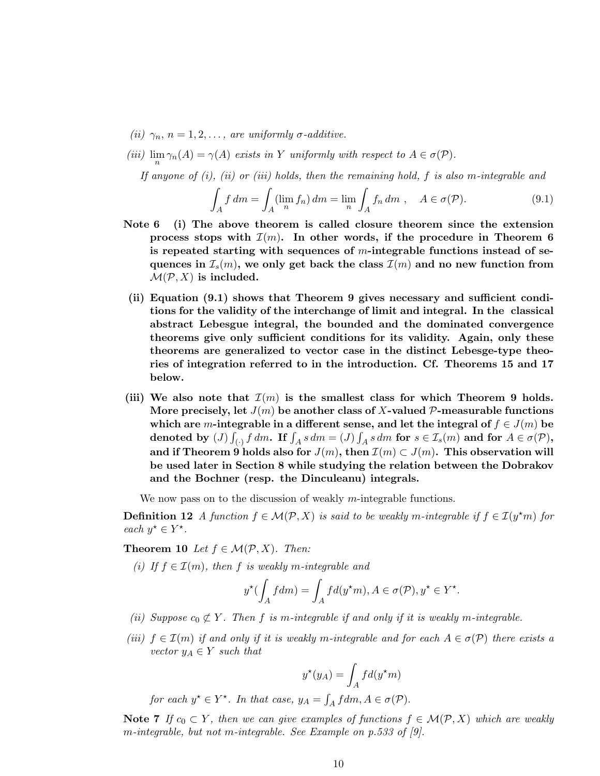- (ii)  $\gamma_n$ ,  $n = 1, 2, \ldots$ , are uniformly  $\sigma$ -additive.
- (iii)  $\lim_{n} \gamma_n(A) = \gamma(A)$  exists in Y uniformly with respect to  $A \in \sigma(\mathcal{P})$ .

If anyone of  $(i)$ ,  $(ii)$  or  $(iii)$  holds, then the remaining hold, f is also m-integrable and

$$
\int_{A} f dm = \int_{A} (\lim_{n} f_n) dm = \lim_{n} \int_{A} f_n dm , \quad A \in \sigma(\mathcal{P}).
$$
\n(9.1)

- Note 6 (i) The above theorem is called closure theorem since the extension process stops with  $\mathcal{I}(m)$ . In other words, if the procedure in Theorem 6 is repeated starting with sequences of  $m$ -integrable functions instead of sequences in  $\mathcal{I}_{s}(m)$ , we only get back the class  $\mathcal{I}(m)$  and no new function from  $\mathcal{M}(\mathcal{P}, X)$  is included.
- (ii) Equation (9.1) shows that Theorem 9 gives necessary and sufficient conditions for the validity of the interchange of limit and integral. In the classical abstract Lebesgue integral, the bounded and the dominated convergence theorems give only sufficient conditions for its validity. Again, only these theorems are generalized to vector case in the distinct Lebesge-type theories of integration referred to in the introduction. Cf. Theorems 15 and 17 below.
- (iii) We also note that  $\mathcal{I}(m)$  is the smallest class for which Theorem 9 holds. More precisely, let  $J(m)$  be another class of X-valued P-measurable functions which are m-integrable in a different sense, and let the integral of  $f \in J(m)$  be denoted by  $(J)$   $\int$  $\int_{A}$  f dm. If  $\int_{A} s dm = (J) \int_{A} s dm$  for  $s \in \mathcal{I}_{s}(m)$  and for  $A \in \sigma(\mathcal{P})$ , and if Theorem 9 holds also for  $J(m)$ , then  $\mathcal{I}(m) \subset J(m)$ . This observation will be used later in Section 8 while studying the relation between the Dobrakov and the Bochner (resp. the Dinculeanu) integrals.

We now pass on to the discussion of weakly *m*-integrable functions.

**Definition 12** A function  $f \in \mathcal{M}(\mathcal{P}, X)$  is said to be weakly m-integrable if  $f \in \mathcal{I}(y^*m)$  for each  $y^* \in Y^*$ .

Theorem 10 Let  $f \in \mathcal{M}(\mathcal{P}, X)$ . Then:

(i) If  $f \in \mathcal{I}(m)$ , then f is weakly m-integrable and

$$
y^{\star}(\int_A f dm)=\int_A f d(y^{\star}m), A\in \sigma(\mathcal{P}), y^{\star}\in Y^{\star}.
$$

- (ii) Suppose  $c_0 \not\subset Y$ . Then f is m-integrable if and only if it is weakly m-integrable.
- (iii)  $f \in \mathcal{I}(m)$  if and only if it is weakly m-integrable and for each  $A \in \sigma(\mathcal{P})$  there exists a vector  $y_A \in Y$  such that

$$
y^{\star}(y_A) = \int_A f d(y^{\star} m)
$$

for each  $y^* \in Y^*$ . In that case,  $y_A = \int_A f dm, A \in \sigma(\mathcal{P})$ .

Note 7 If  $c_0 \subset Y$ , then we can give examples of functions  $f \in \mathcal{M}(\mathcal{P}, X)$  which are weakly m-integrable, but not m-integrable. See Example on p.533 of [9].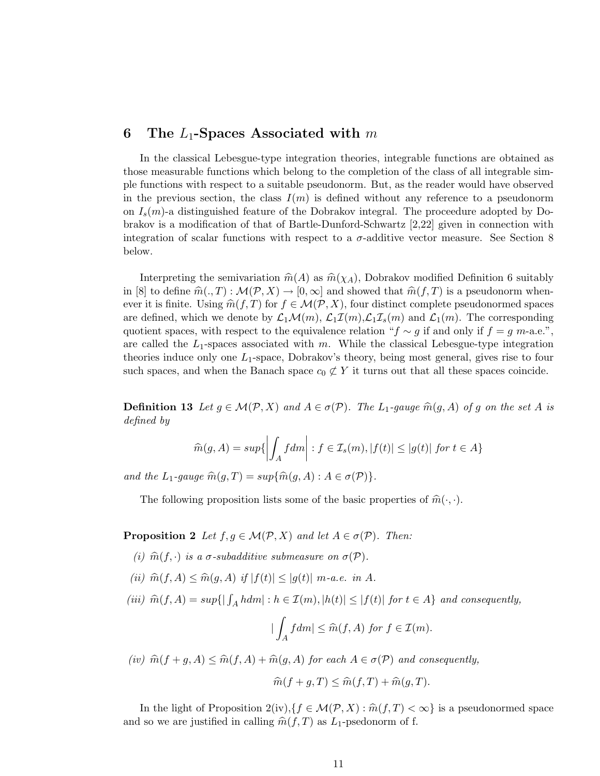# 6 The  $L_1$ -Spaces Associated with m

In the classical Lebesgue-type integration theories, integrable functions are obtained as those measurable functions which belong to the completion of the class of all integrable simple functions with respect to a suitable pseudonorm. But, as the reader would have observed in the previous section, the class  $I(m)$  is defined without any reference to a pseudonorm on  $I_s(m)$ -a distinguished feature of the Dobrakov integral. The proceedure adopted by Dobrakov is a modification of that of Bartle-Dunford-Schwartz [2,22] given in connection with integration of scalar functions with respect to a  $\sigma$ -additive vector measure. See Section 8 below.

Interpreting the semivariation  $\hat{m}(A)$  as  $\hat{m}(\chi_A)$ , Dobrakov modified Definition 6 suitably in [8] to define  $\widehat{m}(., T) : \mathcal{M}(\mathcal{P}, X) \to [0, \infty]$  and showed that  $\widehat{m}(f, T)$  is a pseudonorm whenever it is finite. Using  $\widehat{m}(f, T)$  for  $f \in \mathcal{M}(\mathcal{P}, X)$ , four distinct complete pseudonormed spaces are defined, which we denote by  $\mathcal{L}_1\mathcal{M}(m)$ ,  $\mathcal{L}_1\mathcal{I}(m)$ ,  $\mathcal{L}_1\mathcal{I}_s(m)$  and  $\mathcal{L}_1(m)$ . The corresponding quotient spaces, with respect to the equivalence relation " $f \sim g$  if and only if  $f = g$  m-a.e.", are called the  $L_1$ -spaces associated with m. While the classical Lebesgue-type integration theories induce only one  $L_1$ -space, Dobrakov's theory, being most general, gives rise to four such spaces, and when the Banach space  $c_0 \not\subset Y$  it turns out that all these spaces coincide.

**Definition 13** Let  $g \in \mathcal{M}(\mathcal{P}, X)$  and  $A \in \sigma(\mathcal{P})$ . The L<sub>1</sub>-gauge  $\widehat{m}(g, A)$  of g on the set A is defined by

$$
\widehat{m}(g, A) = sup\{ \left| \int_A f dm \right| : f \in \mathcal{I}_s(m), |f(t)| \le |g(t)| \text{ for } t \in A \}
$$

and the  $L_1$ -gauge  $\widehat{m}(g, T) = \sup{\{\widehat{m}(g, A) : A \in \sigma(\mathcal{P})\}}$ .

The following proposition lists some of the basic properties of  $\hat{m}(\cdot, \cdot)$ .

**Proposition 2** Let  $f, g \in \mathcal{M}(\mathcal{P}, X)$  and let  $A \in \sigma(\mathcal{P})$ . Then:

- (i)  $\widehat{m}(f, \cdot)$  is a  $\sigma$ -subadditive submeasure on  $\sigma(\mathcal{P})$ .
- (ii)  $\widehat{m}(f, A) \leq \widehat{m}(g, A)$  if  $|f(t)| \leq |g(t)| \ m-a.e.$  in A.

(iii)  $\widehat{m}(f, A) = \sup\{|\int_A h dm| : h \in \mathcal{I}(m), |h(t)| \leq |f(t)| \text{ for } t \in A\}$  and consequently,

$$
|\int_A f dm| \leq \widehat{m}(f, A) \text{ for } f \in \mathcal{I}(m).
$$

(iv)  $\widehat{m}(f + g, A) \leq \widehat{m}(f, A) + \widehat{m}(g, A)$  for each  $A \in \sigma(\mathcal{P})$  and consequently,

$$
\widehat{m}(f+g,T) \le \widehat{m}(f,T) + \widehat{m}(g,T).
$$

In the light of Proposition  $2(iv)$ ,  $\{f \in \mathcal{M}(\mathcal{P}, X) : \hat{m}(f, T) < \infty\}$  is a pseudonormed space and so we are justified in calling  $\widehat{m}(f, T)$  as  $L_1$ -psedonorm of f.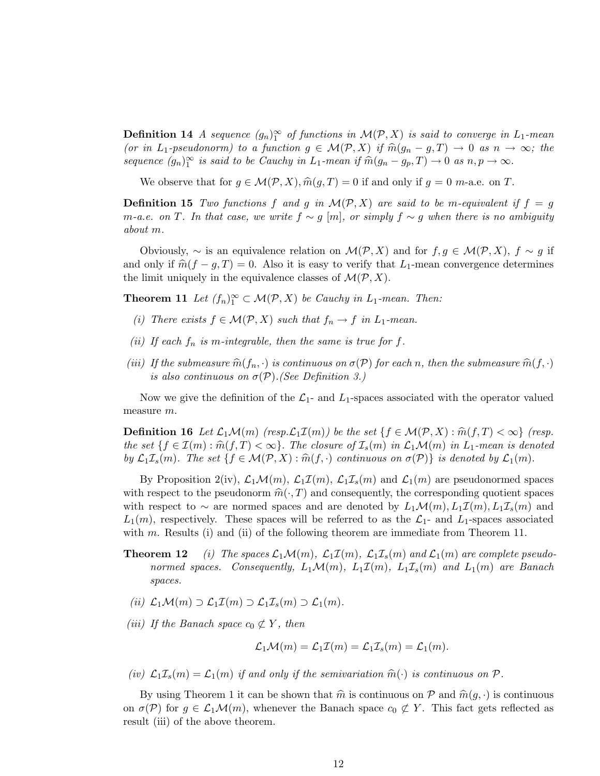**Definition 14** A sequence  $(g_n)_1^{\infty}$  of functions in  $\mathcal{M}(\mathcal{P}, X)$  is said to converge in  $L_1$ -mean (or in L<sub>1</sub>-pseudonorm) to a function  $g \in \mathcal{M}(\mathcal{P}, X)$  if  $\widehat{m}(g_n - g, T) \to 0$  as  $n \to \infty$ ; the sequence  $(g_n)_1^{\infty}$  is said to be Cauchy in  $L_1$ -mean if  $\widehat{m}(g_n - g_p, T) \to 0$  as  $n, p \to \infty$ .

We observe that for  $g \in \mathcal{M}(\mathcal{P}, X), \hat{m}(g, T) = 0$  if and only if  $g = 0$  m-a.e. on T.

**Definition 15** Two functions f and g in  $\mathcal{M}(\mathcal{P}, X)$  are said to be m-equivalent if  $f = g$ m-a.e. on T. In that case, we write  $f \sim g$  [m], or simply  $f \sim g$  when there is no ambiguity about m.

Obviously,  $\sim$  is an equivalence relation on  $\mathcal{M}(\mathcal{P}, X)$  and for  $f, g \in \mathcal{M}(\mathcal{P}, X)$ ,  $f \sim g$  if and only if  $\hat{m}(f - q, T) = 0$ . Also it is easy to verify that L<sub>1</sub>-mean convergence determines the limit uniquely in the equivalence classes of  $\mathcal{M}(\mathcal{P}, X)$ .

**Theorem 11** Let  $(f_n)_1^{\infty} \subset \mathcal{M}(\mathcal{P}, X)$  be Cauchy in  $L_1$ -mean. Then:

- (i) There exists  $f \in \mathcal{M}(\mathcal{P}, X)$  such that  $f_n \to f$  in  $L_1$ -mean.
- (ii) If each  $f_n$  is m-integrable, then the same is true for f.
- (iii) If the submeasure  $\widehat{m}(f_n, \cdot)$  is continuous on  $\sigma(\mathcal{P})$  for each n, then the submeasure  $\widehat{m}(f, \cdot)$ is also continuous on  $\sigma(\mathcal{P})$ . (See Definition 3.)

Now we give the definition of the  $\mathcal{L}_1$ - and  $L_1$ -spaces associated with the operator valued measure m.

**Definition 16** Let  $\mathcal{L}_1\mathcal{M}(m)$  (resp.  $\mathcal{L}_1\mathcal{I}(m)$ ) be the set  $\{f \in \mathcal{M}(\mathcal{P}, X) : \hat{m}(f, T) < \infty\}$  (resp. the set  $\{f \in \mathcal{I}(m) : \hat{m}(f,T) < \infty\}$ . The closure of  $\mathcal{I}_s(m)$  in  $\mathcal{L}_1\mathcal{M}(m)$  in  $L_1$ -mean is denoted by  $\mathcal{L}_1\mathcal{I}_s(m)$ . The set  $\{f \in \mathcal{M}(\mathcal{P}, X) : \widehat{m}(f, \cdot)$  continuous on  $\sigma(\mathcal{P})\}$  is denoted by  $\mathcal{L}_1(m)$ .

By Proposition 2(iv),  $\mathcal{L}_1\mathcal{M}(m)$ ,  $\mathcal{L}_1\mathcal{I}(m)$ ,  $\mathcal{L}_1\mathcal{I}_s(m)$  and  $\mathcal{L}_1(m)$  are pseudonormed spaces with respect to the pseudonorm  $\hat{m}(\cdot, T)$  and consequently, the corresponding quotient spaces with respect to ∼ are normed spaces and are denoted by  $L_1\mathcal{M}(m)$ ,  $L_1\mathcal{I}(m)$ ,  $L_1\mathcal{I}_s(m)$  and  $L_1(m)$ , respectively. These spaces will be referred to as the  $\mathcal{L}_1$ - and  $L_1$ -spaces associated with m. Results (i) and (ii) of the following theorem are immediate from Theorem 11.

- **Theorem 12** (i) The spaces  $\mathcal{L}_1\mathcal{M}(m)$ ,  $\mathcal{L}_1\mathcal{I}(m)$ ,  $\mathcal{L}_1\mathcal{I}_s(m)$  and  $\mathcal{L}_1(m)$  are complete pseudonormed spaces. Consequently,  $L_1\mathcal{M}(m)$ ,  $L_1\mathcal{I}(m)$ ,  $L_1\mathcal{I}_s(m)$  and  $L_1(m)$  are Banach spaces.
- (ii)  $\mathcal{L}_1\mathcal{M}(m) \supset \mathcal{L}_1\mathcal{I}(m) \supset \mathcal{L}_1\mathcal{I}_s(m) \supset \mathcal{L}_1(m)$ .
- (iii) If the Banach space  $c_0 \not\subset Y$ , then

$$
\mathcal{L}_1\mathcal{M}(m) = \mathcal{L}_1\mathcal{I}(m) = \mathcal{L}_1\mathcal{I}_s(m) = \mathcal{L}_1(m).
$$

(iv)  $\mathcal{L}_1 \mathcal{I}_s(m) = \mathcal{L}_1(m)$  if and only if the semivariation  $\widehat{m}(\cdot)$  is continuous on P.

By using Theorem 1 it can be shown that  $\hat{m}$  is continuous on P and  $\hat{m} (g, \cdot)$  is continuous on  $\sigma(\mathcal{P})$  for  $g \in \mathcal{L}_1\mathcal{M}(m)$ , whenever the Banach space  $c_0 \not\subset Y$ . This fact gets reflected as result (iii) of the above theorem.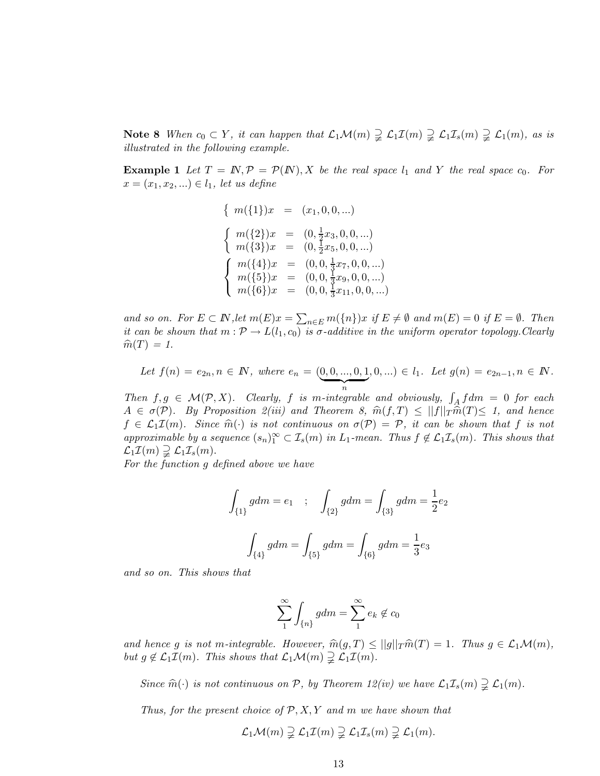Note 8 When  $c_0 \subset Y$ , it can happen that  $\mathcal{L}_1\mathcal{M}(m) \supsetneq \mathcal{L}_1\mathcal{I}(m) \supsetneq \mathcal{L}_1\mathcal{I}_s(m) \supsetneq \mathcal{L}_1(m)$ , as is illustrated in the following example.

**Example 1** Let  $T = N, P = P(N), X$  be the real space  $l_1$  and Y the real space  $c_0$ . For  $x = (x_1, x_2, ...) \in l_1$ , let us define

$$
\begin{cases}\nm(\{1\})x = (x_1, 0, 0, \ldots) \\
m(\{2\})x = (0, \frac{1}{2}x_3, 0, 0, \ldots) \\
m(\{3\})x = (0, \frac{1}{2}x_5, 0, 0, \ldots) \\
m(\{4\})x = (0, 0, \frac{1}{3}x_7, 0, 0, \ldots) \\
m(\{5\})x = (0, 0, \frac{1}{3}x_9, 0, 0, \ldots) \\
m(\{6\})x = (0, 0, \frac{1}{3}x_{11}, 0, 0, \ldots)\n\end{cases}
$$

and so on. For  $E \subset \mathbb{N}$ , let  $m(E)x = \sum_{n \in E} m(\{n\})x$  if  $E \neq \emptyset$  and  $m(E) = 0$  if  $E = \emptyset$ . Then it can be shown that  $m : \mathcal{P} \to L(l_1, c_0)$  is  $\sigma$ -additive in the uniform operator topology. Clearly  $\widehat{m}(T) = 1.$ 

Let 
$$
f(n) = e_{2n}, n \in \mathbb{N}
$$
, where  $e_n = (\underbrace{0,0,...,0,1}_{n}, 0,...) \in l_1$ . Let  $g(n) = e_{2n-1}, n \in \mathbb{N}$ .

Then  $f, g \in \mathcal{M}(P, X)$ . Clearly, f is m-integrable and obviously,  $\int_A f dm = 0$  for each  $A \in \sigma(\mathcal{P})$ . By Proposition 2(iii) and Theorem 8,  $\widehat{m}(f, T) \leq ||f||_T \widehat{m}(T) \leq 1$ , and hence  $f \in \mathcal{L}_1 \mathcal{I}(m)$ . Since  $\widehat{m}(\cdot)$  is not continuous on  $\sigma(\mathcal{P}) = \mathcal{P}$ , it can be shown that f is not approximable by a sequence  $(s_n)_1^{\infty} \subset \mathcal{I}_s(m)$  in  $L_1$ -mean. Thus  $f \notin \mathcal{L}_1 \mathcal{I}_s(m)$ . This shows that  $\mathcal{L}_1 \mathcal{I}(m) \supsetneq \mathcal{L}_1 \mathcal{I}_s(m)$ .

For the function g defined above we have

$$
\int_{\{1\}} g dm = e_1 \quad ; \quad \int_{\{2\}} g dm = \int_{\{3\}} g dm = \frac{1}{2} e_2
$$

$$
\int_{\{4\}} g dm = \int_{\{5\}} g dm = \int_{\{6\}} g dm = \frac{1}{3} e_3
$$

and so on. This shows that

$$
\sum_{1}^{\infty} \int_{\{n\}} g dm = \sum_{1}^{\infty} e_k \notin c_0
$$

and hence g is not m-integrable. However,  $\widehat{m}(g, T) \leq ||g||_T \widehat{m}(T) = 1$ . Thus  $g \in \mathcal{L}_1\mathcal{M}(m)$ , but  $g \notin \mathcal{L}_1 \mathcal{I}(m)$ . This shows that  $\mathcal{L}_1 \mathcal{M}(m) \supsetneq \mathcal{L}_1 \mathcal{I}(m)$ .

Since  $\widehat{m}(\cdot)$  is not continuous on P, by Theorem 12(iv) we have  $\mathcal{L}_1\mathcal{I}_s(m) \supsetneq \mathcal{L}_1(m)$ .

Thus, for the present choice of  $P, X, Y$  and m we have shown that

$$
\mathcal{L}_1\mathcal{M}(m) \supsetneq \mathcal{L}_1\mathcal{I}(m) \supsetneq \mathcal{L}_1\mathcal{I}_s(m) \supsetneq \mathcal{L}_1(m).
$$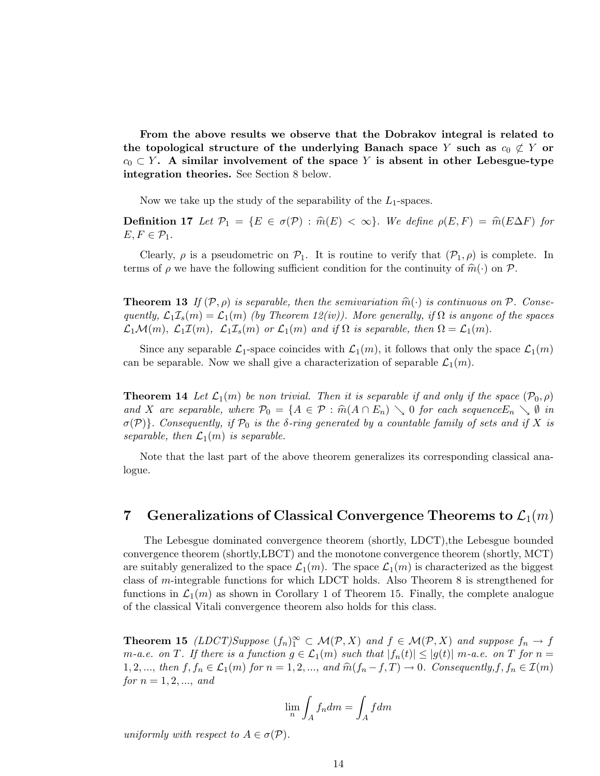From the above results we observe that the Dobrakov integral is related to the topological structure of the underlying Banach space Y such as  $c_0 \not\subset Y$  or  $c_0 \subset Y$ . A similar involvement of the space Y is absent in other Lebesgue-type integration theories. See Section 8 below.

Now we take up the study of the separability of the  $L_1$ -spaces.

**Definition 17** Let  $\mathcal{P}_1 = \{E \in \sigma(\mathcal{P}) : \hat{m}(E) < \infty\}$ . We define  $\rho(E, F) = \hat{m}(E\Delta F)$  for  $E, F \in \mathcal{P}_1$ .

Clearly,  $\rho$  is a pseudometric on  $\mathcal{P}_1$ . It is routine to verify that  $(\mathcal{P}_1, \rho)$  is complete. In terms of  $\rho$  we have the following sufficient condition for the continuity of  $\widehat{m}(\cdot)$  on P.

**Theorem 13** If  $(\mathcal{P}, \rho)$  is separable, then the semivariation  $\widehat{m}(\cdot)$  is continuous on  $\mathcal{P}$ . Consequently,  $\mathcal{L}_1\mathcal{I}_s(m)=\mathcal{L}_1(m)$  (by Theorem 12(iv)). More generally, if  $\Omega$  is anyone of the spaces  $\mathcal{L}_1\mathcal{M}(m)$ ,  $\mathcal{L}_1\mathcal{I}(m)$ ,  $\mathcal{L}_1\mathcal{I}_s(m)$  or  $\mathcal{L}_1(m)$  and if  $\Omega$  is separable, then  $\Omega=\mathcal{L}_1(m)$ .

Since any separable  $\mathcal{L}_1$ -space coincides with  $\mathcal{L}_1(m)$ , it follows that only the space  $\mathcal{L}_1(m)$ can be separable. Now we shall give a characterization of separable  $\mathcal{L}_1(m)$ .

**Theorem 14** Let  $\mathcal{L}_1(m)$  be non trivial. Then it is separable if and only if the space  $(\mathcal{P}_0, \rho)$ and X are separable, where  $\mathcal{P}_0 = \{A \in \mathcal{P} : \hat{m}(A \cap E_n) \setminus 0 \text{ for each sequence } E_n \setminus \emptyset \text{ in } \}$  $\sigma(\mathcal{P})$ . Consequently, if  $\mathcal{P}_0$  is the  $\delta$ -ring generated by a countable family of sets and if X is separable, then  $\mathcal{L}_1(m)$  is separable.

Note that the last part of the above theorem generalizes its corresponding classical analogue.

# 7 Generalizations of Classical Convergence Theorems to  $\mathcal{L}_1(m)$

The Lebesgue dominated convergence theorem (shortly, LDCT),the Lebesgue bounded convergence theorem (shortly,LBCT) and the monotone convergence theorem (shortly, MCT) are suitably generalized to the space  $\mathcal{L}_1(m)$ . The space  $\mathcal{L}_1(m)$  is characterized as the biggest class of m-integrable functions for which LDCT holds. Also Theorem 8 is strengthened for functions in  $\mathcal{L}_1(m)$  as shown in Corollary 1 of Theorem 15. Finally, the complete analogue of the classical Vitali convergence theorem also holds for this class.

**Theorem 15** (LDCT)Suppose  $(f_n)_1^{\infty} \subset \mathcal{M}(\mathcal{P}, X)$  and  $f \in \mathcal{M}(\mathcal{P}, X)$  and suppose  $f_n \to f$ *m*-a.e. on T. If there is a function  $g \in \mathcal{L}_1(m)$  such that  $|f_n(t)| \leq |g(t)|$  m-a.e. on T for  $n =$ 1, 2, ..., then  $f, f_n \in \mathcal{L}_1(m)$  for  $n = 1, 2, ...,$  and  $\widehat{m}(f_n - f, T) \to 0$ . Consequently,  $f, f_n \in \mathcal{I}(m)$ for  $n = 1, 2, ...,$  and

$$
\lim_{n} \int_{A} f_n dm = \int_{A} f dm
$$

uniformly with respect to  $A \in \sigma(\mathcal{P})$ .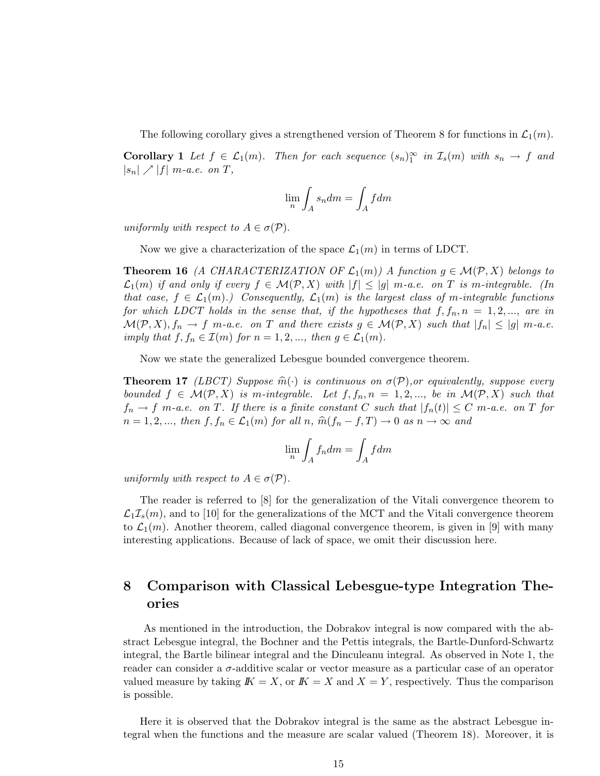The following corollary gives a strengthened version of Theorem 8 for functions in  $\mathcal{L}_1(m)$ .

**Corollary 1** Let  $f \in \mathcal{L}_1(m)$ . Then for each sequence  $(s_n)_1^{\infty}$  in  $\mathcal{I}_s(m)$  with  $s_n \to f$  and  $|s_n| \nearrow |f|$  m-a.e. on T,

$$
\lim_n \int_A s_n dm = \int_A f dm
$$

uniformly with respect to  $A \in \sigma(\mathcal{P})$ .

Now we give a characterization of the space  $\mathcal{L}_1(m)$  in terms of LDCT.

**Theorem 16** (A CHARACTERIZATION OF  $\mathcal{L}_1(m)$ ) A function  $g \in \mathcal{M}(\mathcal{P}, X)$  belongs to  $\mathcal{L}_1(m)$  if and only if every  $f \in \mathcal{M}(\mathcal{P}, X)$  with  $|f| \leq |g|$  m-a.e. on T is m-integrable. (In that case,  $f \in \mathcal{L}_1(m)$ .) Consequently,  $\mathcal{L}_1(m)$  is the largest class of m-integrable functions for which LDCT holds in the sense that, if the hypotheses that  $f, f_n, n = 1, 2, \dots$ , are in  $\mathcal{M}(\mathcal{P}, X), f_n \to f$  m-a.e. on T and there exists  $g \in \mathcal{M}(\mathcal{P}, X)$  such that  $|f_n| \leq |g|$  m-a.e. imply that  $f, f_n \in \mathcal{I}(m)$  for  $n = 1, 2, \dots$ , then  $g \in \mathcal{L}_1(m)$ .

Now we state the generalized Lebesgue bounded convergence theorem.

**Theorem 17** (LBCT) Suppose  $\widehat{m}(\cdot)$  is continuous on  $\sigma(\mathcal{P})$ , or equivalently, suppose every bounded  $f \in \mathcal{M}(\mathcal{P}, X)$  is m-integrable. Let  $f, f_n, n = 1, 2, ...,$  be in  $\mathcal{M}(\mathcal{P}, X)$  such that  $f_n \to f$  m-a.e. on T. If there is a finite constant C such that  $|f_n(t)| \leq C$  m-a.e. on T for  $n = 1, 2, \dots,$  then  $f, f_n \in \mathcal{L}_1(m)$  for all  $n, \hat{m}(f_n - f, T) \to 0$  as  $n \to \infty$  and

$$
\lim_n \int_A f_n dm = \int_A f dm
$$

uniformly with respect to  $A \in \sigma(\mathcal{P})$ .

The reader is referred to [8] for the generalization of the Vitali convergence theorem to  $\mathcal{L}_1\mathcal{I}_s(m)$ , and to [10] for the generalizations of the MCT and the Vitali convergence theorem to  $\mathcal{L}_1(m)$ . Another theorem, called diagonal convergence theorem, is given in [9] with many interesting applications. Because of lack of space, we omit their discussion here.

# 8 Comparison with Classical Lebesgue-type Integration Theories

As mentioned in the introduction, the Dobrakov integral is now compared with the abstract Lebesgue integral, the Bochner and the Pettis integrals, the Bartle-Dunford-Schwartz integral, the Bartle bilinear integral and the Dinculeanu integral. As observed in Note 1, the reader can consider a  $\sigma$ -additive scalar or vector measure as a particular case of an operator valued measure by taking  $K = X$ , or  $K = X$  and  $X = Y$ , respectively. Thus the comparison is possible.

Here it is observed that the Dobrakov integral is the same as the abstract Lebesgue integral when the functions and the measure are scalar valued (Theorem 18). Moreover, it is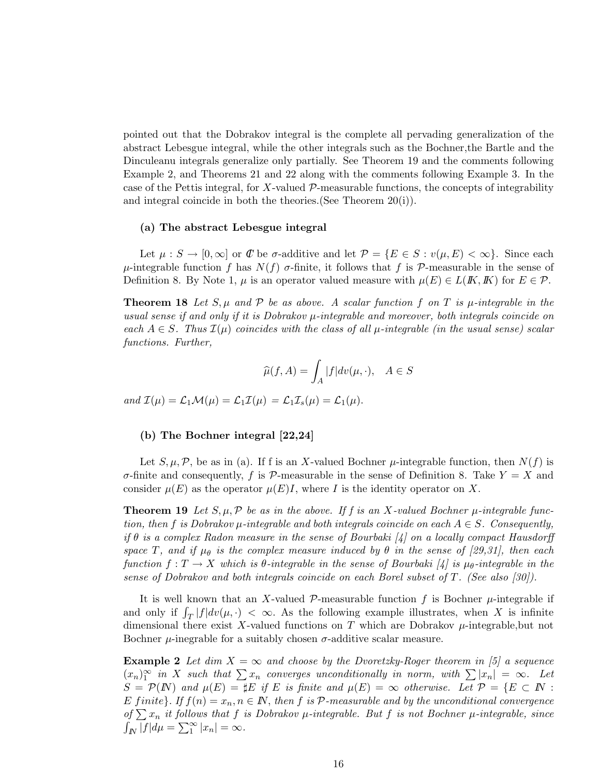pointed out that the Dobrakov integral is the complete all pervading generalization of the abstract Lebesgue integral, while the other integrals such as the Bochner,the Bartle and the Dinculeanu integrals generalize only partially. See Theorem 19 and the comments following Example 2, and Theorems 21 and 22 along with the comments following Example 3. In the case of the Pettis integral, for  $X$ -valued  $P$ -measurable functions, the concepts of integrability and integral coincide in both the theories.(See Theorem 20(i)).

#### (a) The abstract Lebesgue integral

Let  $\mu: S \to [0,\infty]$  or  $\mathscr C$  be  $\sigma$ -additive and let  $\mathscr P = \{E \in S : v(\mu,E) < \infty\}$ . Since each  $\mu$ -integrable function f has  $N(f)$  σ-finite, it follows that f is P-measurable in the sense of Definition 8. By Note 1,  $\mu$  is an operator valued measure with  $\mu(E) \in L(K, K)$  for  $E \in \mathcal{P}$ .

**Theorem 18** Let  $S, \mu$  and  $P$  be as above. A scalar function f on T is  $\mu$ -integrable in the usual sense if and only if it is Dobrakov  $\mu$ -integrable and moreover, both integrals coincide on each  $A \in S$ . Thus  $\mathcal{I}(\mu)$  coincides with the class of all  $\mu$ -integrable (in the usual sense) scalar functions. Further,

$$
\widehat{\mu}(f,A) = \int_A |f| dv(\mu, \cdot), \quad A \in S
$$

and  $\mathcal{I}(\mu) = \mathcal{L}_1 \mathcal{M}(\mu) = \mathcal{L}_1 \mathcal{I}(\mu) = \mathcal{L}_1 \mathcal{I}_s(\mu) = \mathcal{L}_1(\mu)$ .

### (b) The Bochner integral [22,24]

Let  $S, \mu, \mathcal{P}$ , be as in (a). If f is an X-valued Bochner  $\mu$ -integrable function, then  $N(f)$  is  $\sigma$ -finite and consequently, f is P-measurable in the sense of Definition 8. Take  $Y = X$  and consider  $\mu(E)$  as the operator  $\mu(E)I$ , where I is the identity operator on X.

**Theorem 19** Let  $S, \mu, \mathcal{P}$  be as in the above. If f is an X-valued Bochner  $\mu$ -integrable function, then f is Dobrakov  $\mu$ -integrable and both integrals coincide on each  $A \in S$ . Consequently, if  $\theta$  is a complex Radon measure in the sense of Bourbaki [4] on a locally compact Hausdorff space T, and if  $\mu_{\theta}$  is the complex measure induced by  $\theta$  in the sense of [29,31], then each function  $f: T \to X$  which is  $\theta$ -integrable in the sense of Bourbaki [4] is  $\mu_{\theta}$ -integrable in the sense of Dobrakov and both integrals coincide on each Borel subset of T. (See also [30]).

It is well known that an X-valued  $P$ -measurable function f is Bochner  $\mu$ -integrable if and only if  $\int_T |f| dv(\mu, \cdot) < \infty$ . As the following example illustrates, when X is infinite dimensional there exist X-valued functions on T which are Dobrakov  $\mu$ -integrable, but not Bochner  $\mu$ -inegrable for a suitably chosen  $\sigma$ -additive scalar measure.

**Example 2** Let dim  $X = \infty$  and choose by the Dvoretzky-Roger theorem in [5] a sequence  $(x_n)_1^{\infty}$  in X such that  $\sum x_n$  converges unconditionally in norm, with  $\sum |x_n| = \infty$ . Let  $S = \mathcal{P}(N)$  and  $\mu(E) = \sharp E$  if E is finite and  $\mu(E) = \infty$  otherwise. Let  $\mathcal{P} = \{E \subset N :$ E finite}. If  $f(n) = x_n, n \in \mathbb{N}$ , then f is  $P$ -measurable and by the unconditional convergence of  $\sum x_n$  it follows that f is Dobrakov  $\mu$ -integrable. But f is not Bochner  $\mu$ -integrable, since  $\int_{I\!\!N} \overline{|f|} d\mu = \sum_{1}^{\infty} |x_n| = \infty.$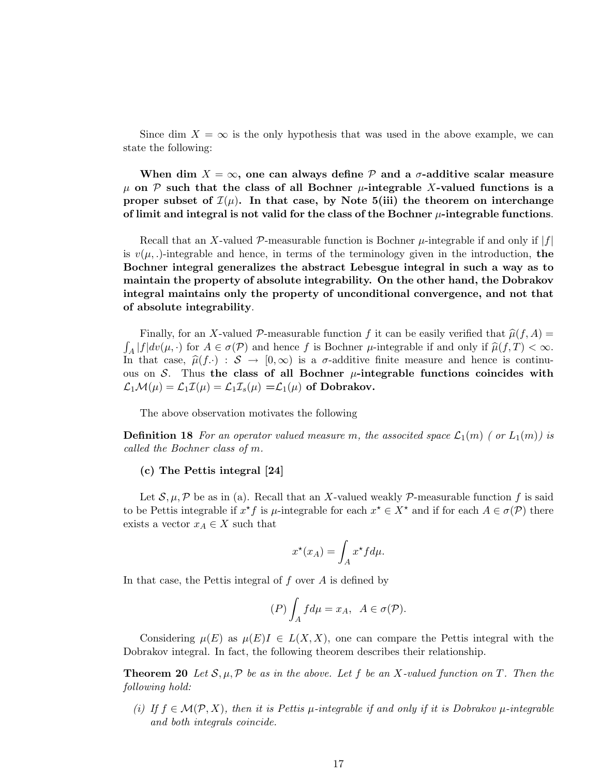Since dim  $X = \infty$  is the only hypothesis that was used in the above example, we can state the following:

When dim  $X = \infty$ , one can always define  $P$  and a  $\sigma$ -additive scalar measure  $\mu$  on P such that the class of all Bochner  $\mu$ -integrable X-valued functions is a proper subset of  $\mathcal{I}(\mu)$ . In that case, by Note 5(iii) the theorem on interchange of limit and integral is not valid for the class of the Bochner  $\mu$ -integrable functions.

Recall that an X-valued P-measurable function is Bochner  $\mu$ -integrable if and only if  $|f|$ is  $v(\mu,.)$ -integrable and hence, in terms of the terminology given in the introduction, the Bochner integral generalizes the abstract Lebesgue integral in such a way as to maintain the property of absolute integrability. On the other hand, the Dobrakov integral maintains only the property of unconditional convergence, and not that of absolute integrability.

Finally, for an X-valued P-measurable function f it can be easily verified that  $\hat{\mu}(f, A) =$  $\int_A |f| dv(\mu, \cdot)$  for  $A \in \sigma(\mathcal{P})$  and hence f is Bochner  $\mu$ -integrable if and only if  $\widehat{\mu}(f, T) < \infty$ . In that case,  $\hat{\mu}(f.) : \mathcal{S} \to [0,\infty)$  is a  $\sigma$ -additive finite measure and hence is continuous on S. Thus the class of all Bochner  $\mu$ -integrable functions coincides with  $\mathcal{L}_1\mathcal{M}(\mu) = \mathcal{L}_1\mathcal{I}(\mu) = \mathcal{L}_1\mathcal{I}_s(\mu) = \mathcal{L}_1(\mu)$  of Dobrakov.

The above observation motivates the following

**Definition 18** For an operator valued measure m, the associted space  $\mathcal{L}_1(m)$  ( or  $L_1(m)$ ) is called the Bochner class of m.

### (c) The Pettis integral [24]

Let  $\mathcal{S}, \mu, \mathcal{P}$  be as in (a). Recall that an X-valued weakly  $\mathcal{P}$ -measurable function f is said to be Pettis integrable if  $x^*f$  is  $\mu$ -integrable for each  $x^* \in X^*$  and if for each  $A \in \sigma(\mathcal{P})$  there exists a vector  $x_A \in X$  such that

$$
x^*(x_A) = \int_A x^* f d\mu.
$$

In that case, the Pettis integral of  $f$  over  $A$  is defined by

$$
(P)\int_A f d\mu = x_A, \ \ A \in \sigma(\mathcal{P}).
$$

Considering  $\mu(E)$  as  $\mu(E)I \in L(X,X)$ , one can compare the Pettis integral with the Dobrakov integral. In fact, the following theorem describes their relationship.

**Theorem 20** Let  $S, \mu, \mathcal{P}$  be as in the above. Let f be an X-valued function on T. Then the following hold:

(i) If  $f \in \mathcal{M}(\mathcal{P}, X)$ , then it is Pettis  $\mu$ -integrable if and only if it is Dobrakov  $\mu$ -integrable and both integrals coincide.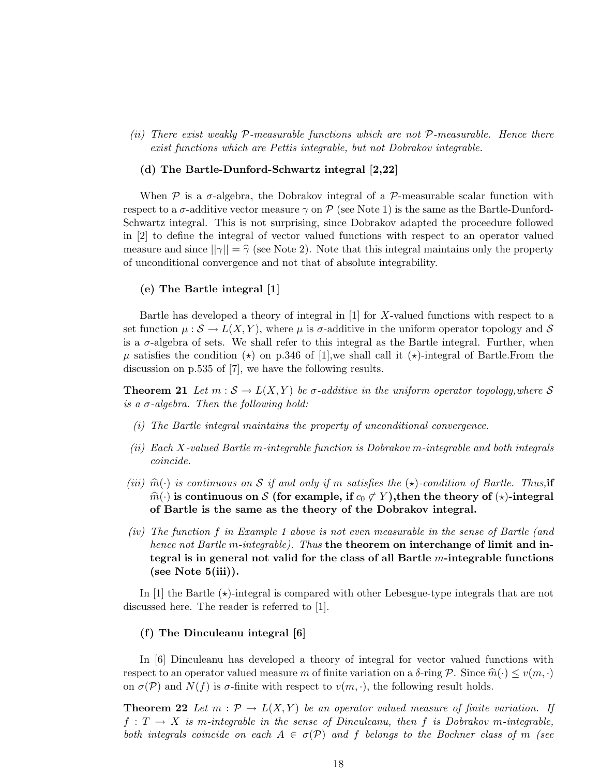(ii) There exist weakly  $P$ -measurable functions which are not  $P$ -measurable. Hence there exist functions which are Pettis integrable, but not Dobrakov integrable.

#### (d) The Bartle-Dunford-Schwartz integral [2,22]

When  $P$  is a  $\sigma$ -algebra, the Dobrakov integral of a  $P$ -measurable scalar function with respect to a  $\sigma$ -additive vector measure  $\gamma$  on  $\mathcal P$  (see Note 1) is the same as the Bartle-Dunford-Schwartz integral. This is not surprising, since Dobrakov adapted the proceedure followed in [2] to define the integral of vector valued functions with respect to an operator valued measure and since  $||\gamma|| = \hat{\gamma}$  (see Note 2). Note that this integral maintains only the property of unconditional convergence and not that of absolute integrability.

### (e) The Bartle integral [1]

Bartle has developed a theory of integral in  $[1]$  for X-valued functions with respect to a set function  $\mu : \mathcal{S} \to L(X, Y)$ , where  $\mu$  is  $\sigma$ -additive in the uniform operator topology and  $\mathcal{S}$ is a  $\sigma$ -algebra of sets. We shall refer to this integral as the Bartle integral. Further, when  $\mu$  satisfies the condition ( $\star$ ) on p.346 of [1], we shall call it ( $\star$ )-integral of Bartle. From the discussion on p.535 of [7], we have the following results.

**Theorem 21** Let  $m : \mathcal{S} \to L(X, Y)$  be  $\sigma$ -additive in the uniform operator topology, where S is a  $\sigma$ -algebra. Then the following hold:

- (i) The Bartle integral maintains the property of unconditional convergence.
- (ii) Each X-valued Bartle m-integrable function is Dobrakov m-integrable and both integrals coincide.
- (iii)  $\hat{m}(\cdot)$  is continuous on S if and only if m satisfies the  $(\star)$ -condition of Bartle. Thus, if  $\hat{m}(\cdot)$  is continuous on S (for example, if  $c_0 \not\subset Y$ ), then the theory of  $(\star)$ -integral of Bartle is the same as the theory of the Dobrakov integral.
- (iv) The function f in Example 1 above is not even measurable in the sense of Bartle (and hence not Bartle m-integrable). Thus the theorem on interchange of limit and integral is in general not valid for the class of all Bartle  $m$ -integrable functions (see Note  $5(iii)$ ).

In [1] the Bartle  $(\star)$ -integral is compared with other Lebesgue-type integrals that are not discussed here. The reader is referred to [1].

### (f) The Dinculeanu integral [6]

In [6] Dinculeanu has developed a theory of integral for vector valued functions with respect to an operator valued measure m of finite variation on a  $\delta$ -ring P. Since  $\hat{m}(\cdot) \le v(m, \cdot)$ on  $\sigma(\mathcal{P})$  and  $N(f)$  is  $\sigma$ -finite with respect to  $v(m, \cdot)$ , the following result holds.

**Theorem 22** Let  $m : \mathcal{P} \to L(X, Y)$  be an operator valued measure of finite variation. If  $f: T \to X$  is m-integrable in the sense of Dinculeanu, then f is Dobrakov m-integrable, both integrals coincide on each  $A \in \sigma(\mathcal{P})$  and f belongs to the Bochner class of m (see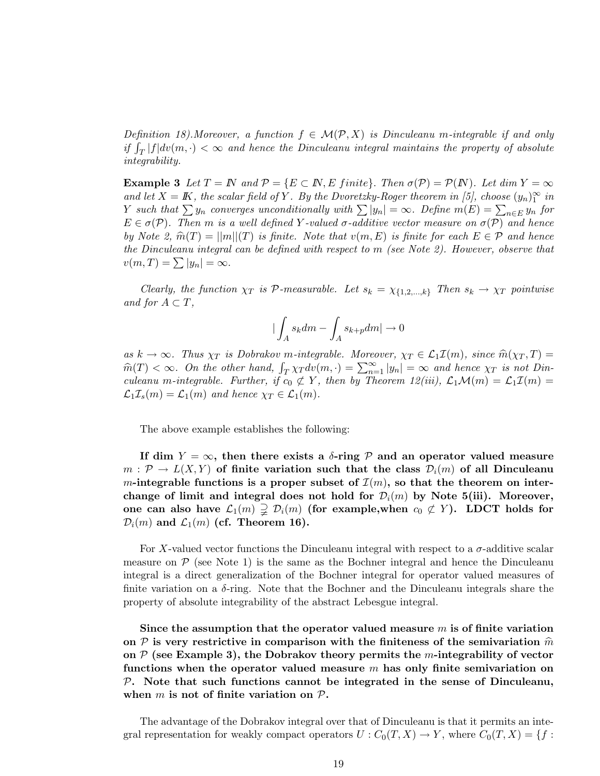Definition 18). Moreover, a function  $f \in \mathcal{M}(\mathcal{P}, X)$  is Dinculeanu m-integrable if and only if  $\int_T |f| dv(m, \cdot) < \infty$  and hence the Dinculeanu integral maintains the property of absolute integrability.

**Example 3** Let  $T = N$  and  $P = \{E \subset N, E \text{ finite}\}\$ . Then  $\sigma(P) = P(N)$ . Let dim  $Y = \infty$ and let  $X = K$ , the scalar field of Y. By the Dvoretzky-Roger theorem in [5], choose  $(y_n)_1^{\infty}$  in Y such that  $\sum y_n$  converges unconditionally with  $\sum |y_n| = \infty$ . Define  $m(E) = \sum_{n \in E} y_n$  for  $E \in \sigma(\mathcal{P})$ . Then m is a well defined Y-valued  $\sigma$ -additive vector measure on  $\sigma(\mathcal{P})$  and hence by Note 2,  $\hat{m}(T) = ||m||(T)$  is finite. Note that  $v(m, E)$  is finite for each  $E \in \mathcal{P}$  and hence the Dinculeanu integral can be defined with respect to m (see Note 2). However, observe that  $v(m, T) = \sum |y_n| = \infty.$ 

Clearly, the function  $\chi_T$  is P-measurable. Let  $s_k = \chi_{\{1,2,\ldots,k\}}$  Then  $s_k \to \chi_T$  pointwise and for  $A \subset T$ ,

$$
|\int_A s_k dm-\int_A s_{k+p} dm| \to 0
$$

as  $k \to \infty$ . Thus  $\chi_T$  is Dobrakov m-integrable. Moreover,  $\chi_T \in \mathcal{L}_1 \mathcal{I}(m)$ , since  $\widehat{m}(\chi_T, T) =$  $\widehat{m}(T) < \infty$ . On the other hand,  $\int_T \chi_T dv(m, \cdot) = \sum_{n=1}^{\infty} |y_n| = \infty$  and hence  $\chi_T$  is not Dinculeanu m-integrable. Further, if  $c_0 \not\subset Y$ , then by Theorem 12(iii),  $\mathcal{L}_1\mathcal{M}(m) = \mathcal{L}_1\mathcal{I}(m) =$  $\mathcal{L}_1\mathcal{I}_s(m) = \mathcal{L}_1(m)$  and hence  $\chi_T \in \mathcal{L}_1(m)$ .

The above example establishes the following:

If dim  $Y = \infty$ , then there exists a  $\delta$ -ring P and an operator valued measure  $m: \mathcal{P} \to L(X, Y)$  of finite variation such that the class  $\mathcal{D}_i(m)$  of all Dinculeanu m-integrable functions is a proper subset of  $\mathcal{I}(m)$ , so that the theorem on interchange of limit and integral does not hold for  $\mathcal{D}_i(m)$  by Note 5(iii). Moreover, one can also have  $\mathcal{L}_1(m) \supsetneq \mathcal{D}_i(m)$  (for example, when  $c_0 \not\subset Y$ ). LDCT holds for  $\mathcal{D}_i(m)$  and  $\mathcal{L}_1(m)$  (cf. Theorem 16).

For X-valued vector functions the Dinculeanu integral with respect to a  $\sigma$ -additive scalar measure on  $P$  (see Note 1) is the same as the Bochner integral and hence the Dinculeanu integral is a direct generalization of the Bochner integral for operator valued measures of finite variation on a  $\delta$ -ring. Note that the Bochner and the Dinculeanu integrals share the property of absolute integrability of the abstract Lebesgue integral.

Since the assumption that the operator valued measure  $m$  is of finite variation on  $P$  is very restrictive in comparison with the finiteness of the semivariation  $\hat{m}$ on  $P$  (see Example 3), the Dobrakov theory permits the m-integrability of vector functions when the operator valued measure  $m$  has only finite semivariation on  $P$ . Note that such functions cannot be integrated in the sense of Dinculeanu, when  $m$  is not of finite variation on  $P$ .

The advantage of the Dobrakov integral over that of Dinculeanu is that it permits an integral representation for weakly compact operators  $U : C_0(T, X) \to Y$ , where  $C_0(T, X) = \{f :$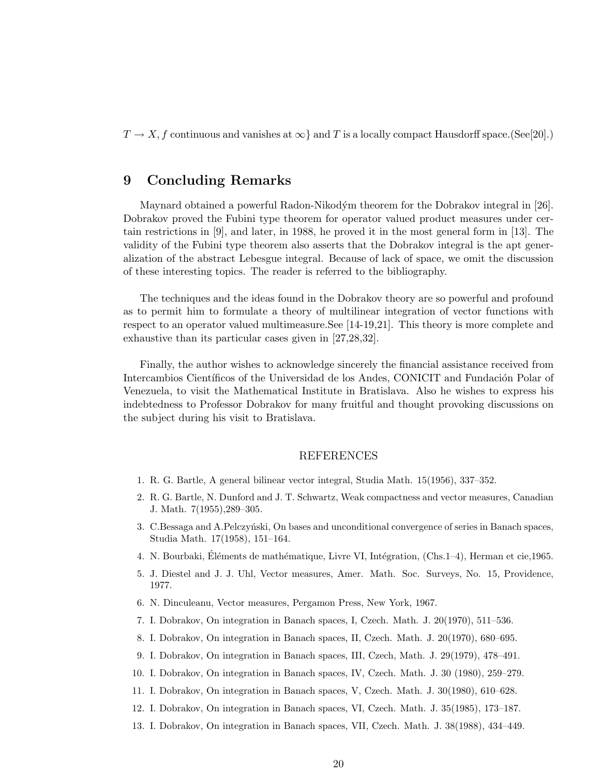$T \to X$ , f continuous and vanishes at  $\infty$  and T is a locally compact Hausdorff space.(See[20].)

# 9 Concluding Remarks

Maynard obtained a powerful Radon-Nikodým theorem for the Dobrakov integral in [26]. Dobrakov proved the Fubini type theorem for operator valued product measures under certain restrictions in [9], and later, in 1988, he proved it in the most general form in [13]. The validity of the Fubini type theorem also asserts that the Dobrakov integral is the apt generalization of the abstract Lebesgue integral. Because of lack of space, we omit the discussion of these interesting topics. The reader is referred to the bibliography.

The techniques and the ideas found in the Dobrakov theory are so powerful and profound as to permit him to formulate a theory of multilinear integration of vector functions with respect to an operator valued multimeasure.See [14-19,21]. This theory is more complete and exhaustive than its particular cases given in [27,28,32].

Finally, the author wishes to acknowledge sincerely the financial assistance received from Intercambios Científicos of the Universidad de los Andes, CONICIT and Fundación Polar of Venezuela, to visit the Mathematical Institute in Bratislava. Also he wishes to express his indebtedness to Professor Dobrakov for many fruitful and thought provoking discussions on the subject during his visit to Bratislava.

### REFERENCES

- 1. R. G. Bartle, A general bilinear vector integral, Studia Math. 15(1956), 337–352.
- 2. R. G. Bartle, N. Dunford and J. T. Schwartz, Weak compactness and vector measures, Canadian J. Math. 7(1955),289–305.
- 3. C.Bessaga and A.Pelczyński, On bases and unconditional convergence of series in Banach spaces, Studia Math. 17(1958), 151–164.
- 4. N. Bourbaki, Éléments de mathématique, Livre VI, Intégration, (Chs.1–4), Herman et cie,1965.
- 5. J. Diestel and J. J. Uhl, Vector measures, Amer. Math. Soc. Surveys, No. 15, Providence, 1977.
- 6. N. Dinculeanu, Vector measures, Pergamon Press, New York, 1967.
- 7. I. Dobrakov, On integration in Banach spaces, I, Czech. Math. J. 20(1970), 511–536.
- 8. I. Dobrakov, On integration in Banach spaces, II, Czech. Math. J. 20(1970), 680–695.
- 9. I. Dobrakov, On integration in Banach spaces, III, Czech, Math. J. 29(1979), 478–491.
- 10. I. Dobrakov, On integration in Banach spaces, IV, Czech. Math. J. 30 (1980), 259–279.
- 11. I. Dobrakov, On integration in Banach spaces, V, Czech. Math. J. 30(1980), 610–628.
- 12. I. Dobrakov, On integration in Banach spaces, VI, Czech. Math. J. 35(1985), 173–187.
- 13. I. Dobrakov, On integration in Banach spaces, VII, Czech. Math. J. 38(1988), 434–449.